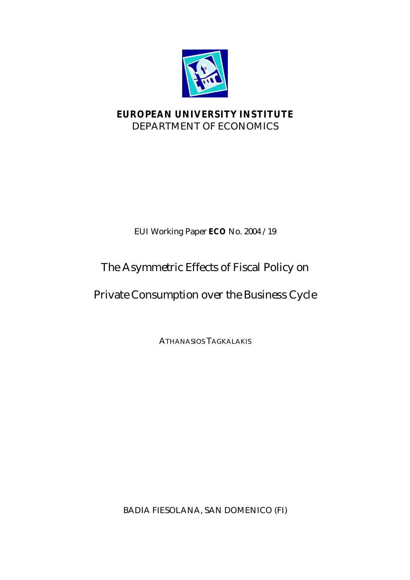

## **EUROPEAN UNIVERSITY INSTITUTE** DEPARTMENT OF ECONOMICS

## EUI Working Paper **ECO** No. 2004 /19

# The Asymmetric Effects of Fiscal Policy on

# Private Consumption over the Business Cycle

ATHANASIOS TAGKALAKIS

BADIA FIESOLANA, SAN DOMENICO (FI)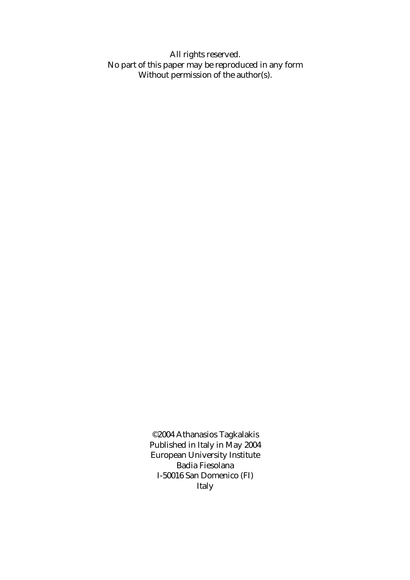All rights reserved. No part of this paper may be reproduced in any form Without permission of the author(s).

> ©2004 Athanasios Tagkalakis Published in Italy in May 2004 European University Institute Badia Fiesolana I-50016 San Domenico (FI) Italy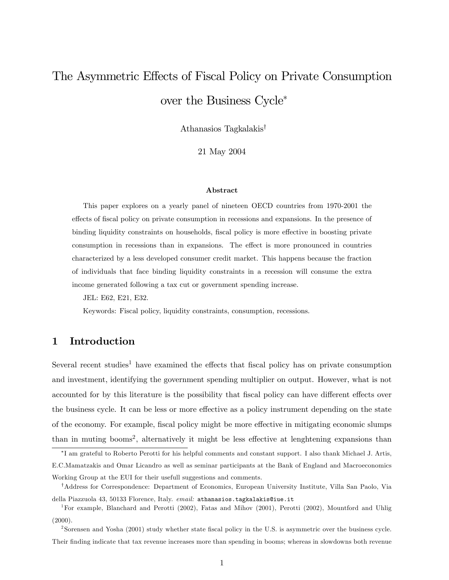# The Asymmetric Effects of Fiscal Policy on Private Consumption over the Business Cycle

Athanasios Tagkalakis<sup>†</sup>

21 May 2004

#### Abstract

This paper explores on a yearly panel of nineteen OECD countries from 1970-2001 the effects of fiscal policy on private consumption in recessions and expansions. In the presence of binding liquidity constraints on households, fiscal policy is more effective in boosting private consumption in recessions than in expansions. The effect is more pronounced in countries characterized by a less developed consumer credit market. This happens because the fraction of individuals that face binding liquidity constraints in a recession will consume the extra income generated following a tax cut or government spending increase.

JEL: E62, E21, E32.

Keywords: Fiscal policy, liquidity constraints, consumption, recessions.

## 1 Introduction

Several recent studies<sup>1</sup> have examined the effects that fiscal policy has on private consumption and investment, identifying the government spending multiplier on output. However, what is not accounted for by this literature is the possibility that fiscal policy can have different effects over the business cycle. It can be less or more effective as a policy instrument depending on the state of the economy. For example, fiscal policy might be more effective in mitigating economic slumps than in muting booms<sup>2</sup>, alternatively it might be less effective at lenghtening expansions than

I am grateful to Roberto Perotti for his helpful comments and constant support. I also thank Michael J. Artis, E.C.Mamatzakis and Omar Licandro as well as seminar participants at the Bank of England and Macroeconomics Working Group at the EUI for their usefull suggestions and comments.

<sup>&</sup>lt;sup>†</sup>Address for Correspondence: Department of Economics, European University Institute, Villa San Paolo, Via della Piazzuola 43, 50133 Florence, Italy. email: athanasios.tagkalakis@iue.it

<sup>1</sup>For example, Blanchard and Perotti (2002), Fatas and Mihov (2001), Perotti (2002), Mountford and Uhlig (2000).

<sup>2</sup> Sorensen and Yosha (2001) study whether state Öscal policy in the U.S. is asymmetric over the business cycle. Their finding indicate that tax revenue increases more than spending in booms; whereas in slowdowns both revenue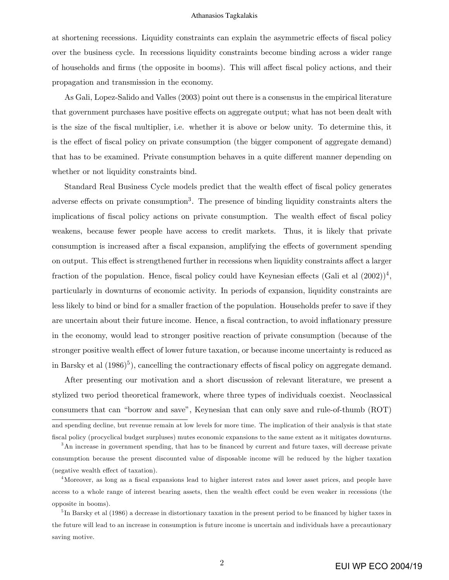at shortening recessions. Liquidity constraints can explain the asymmetric effects of fiscal policy over the business cycle. In recessions liquidity constraints become binding across a wider range of households and firms (the opposite in booms). This will affect fiscal policy actions, and their propagation and transmission in the economy.

As Gali, Lopez-Salido and Valles (2003) point out there is a consensus in the empirical literature that government purchases have positive effects on aggregate output; what has not been dealt with is the size of the Öscal multiplier, i.e. whether it is above or below unity. To determine this, it is the effect of fiscal policy on private consumption (the bigger component of aggregate demand) that has to be examined. Private consumption behaves in a quite different manner depending on whether or not liquidity constraints bind.

Standard Real Business Cycle models predict that the wealth effect of fiscal policy generates adverse effects on private consumption<sup>3</sup>. The presence of binding liquidity constraints alters the implications of fiscal policy actions on private consumption. The wealth effect of fiscal policy weakens, because fewer people have access to credit markets. Thus, it is likely that private consumption is increased after a fiscal expansion, amplifying the effects of government spending on output. This effect is strengthened further in recessions when liquidity constraints affect a larger fraction of the population. Hence, fiscal policy could have Keynesian effects (Gali et al  $(2002))^4$ , particularly in downturns of economic activity. In periods of expansion, liquidity constraints are less likely to bind or bind for a smaller fraction of the population. Households prefer to save if they are uncertain about their future income. Hence, a fiscal contraction, to avoid inflationary pressure in the economy, would lead to stronger positive reaction of private consumption (because of the stronger positive wealth effect of lower future taxation, or because income uncertainty is reduced as in Barsky et al  $(1986)^5$ ), cancelling the contractionary effects of fiscal policy on aggregate demand.

After presenting our motivation and a short discussion of relevant literature, we present a stylized two period theoretical framework, where three types of individuals coexist. Neoclassical consumers that can "borrow and save", Keynesian that can only save and rule-of-thumb (ROT) and spending decline, but revenue remain at low levels for more time. The implication of their analysis is that state

<sup>3</sup>An increase in government spending, that has to be financed by current and future taxes, will decrease private consumption because the present discounted value of disposable income will be reduced by the higher taxation (negative wealth effect of taxation).

Öscal policy (procyclical budget surpluses) mutes economic expansions to the same extent as it mitigates downturns.

<sup>4</sup>Moreover, as long as a fiscal expansions lead to higher interest rates and lower asset prices, and people have access to a whole range of interest bearing assets, then the wealth effect could be even weaker in recessions (the opposite in booms).

<sup>5</sup>In Barsky et al (1986) a decrease in distortionary taxation in the present period to be financed by higher taxes in the future will lead to an increase in consumption is future income is uncertain and individuals have a precautionary saving motive.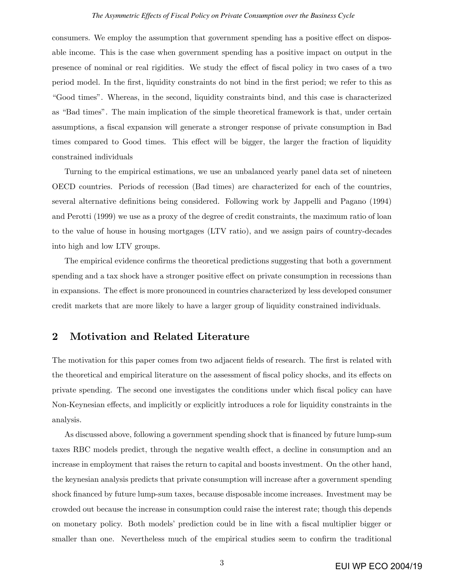#### *The Asymmetric Effects of Fiscal Policy on Private Consumption over the Business Cycle*

consumers. We employ the assumption that government spending has a positive effect on disposable income. This is the case when government spending has a positive impact on output in the presence of nominal or real rigidities. We study the effect of fiscal policy in two cases of a two period model. In the first, liquidity constraints do not bind in the first period; we refer to this as ìGood timesî. Whereas, in the second, liquidity constraints bind, and this case is characterized as "Bad times". The main implication of the simple theoretical framework is that, under certain assumptions, a fiscal expansion will generate a stronger response of private consumption in Bad times compared to Good times. This effect will be bigger, the larger the fraction of liquidity constrained individuals

Turning to the empirical estimations, we use an unbalanced yearly panel data set of nineteen OECD countries. Periods of recession (Bad times) are characterized for each of the countries, several alternative definitions being considered. Following work by Jappelli and Pagano (1994) and Perotti (1999) we use as a proxy of the degree of credit constraints, the maximum ratio of loan to the value of house in housing mortgages (LTV ratio), and we assign pairs of country-decades into high and low LTV groups.

The empirical evidence confirms the theoretical predictions suggesting that both a government spending and a tax shock have a stronger positive effect on private consumption in recessions than in expansions. The effect is more pronounced in countries characterized by less developed consumer credit markets that are more likely to have a larger group of liquidity constrained individuals.

## 2 Motivation and Related Literature

The motivation for this paper comes from two adjacent fields of research. The first is related with the theoretical and empirical literature on the assessment of fiscal policy shocks, and its effects on private spending. The second one investigates the conditions under which Öscal policy can have Non-Keynesian effects, and implicitly or explicitly introduces a role for liquidity constraints in the analysis.

As discussed above, following a government spending shock that is financed by future lump-sum taxes RBC models predict, through the negative wealth effect, a decline in consumption and an increase in employment that raises the return to capital and boosts investment. On the other hand, the keynesian analysis predicts that private consumption will increase after a government spending shock financed by future lump-sum taxes, because disposable income increases. Investment may be crowded out because the increase in consumption could raise the interest rate; though this depends on monetary policy. Both models' prediction could be in line with a fiscal multiplier bigger or smaller than one. Nevertheless much of the empirical studies seem to confirm the traditional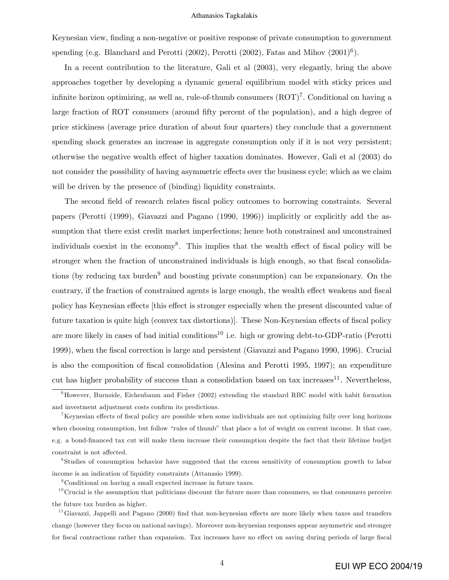Keynesian view, finding a non-negative or positive response of private consumption to government spending (e.g. Blanchard and Perotti  $(2002)$ , Perotti  $(2002)$ , Fatas and Mihov  $(2001)^6$ ).

In a recent contribution to the literature, Gali et al (2003), very elegantly, bring the above approaches together by developing a dynamic general equilibrium model with sticky prices and infinite horizon optimizing, as well as, rule-of-thumb consumers  $(ROT)^7$ . Conditional on having a large fraction of ROT consumers (around fifty percent of the population), and a high degree of price stickiness (average price duration of about four quarters) they conclude that a government spending shock generates an increase in aggregate consumption only if it is not very persistent; otherwise the negative wealth effect of higher taxation dominates. However, Gali et al (2003) do not consider the possibility of having asymmetric effects over the business cycle; which as we claim will be driven by the presence of (binding) liquidity constraints.

The second field of research relates fiscal policy outcomes to borrowing constraints. Several papers (Perotti (1999), Giavazzi and Pagano (1990, 1996)) implicitly or explicitly add the assumption that there exist credit market imperfections; hence both constrained and unconstrained individuals coexist in the economy<sup>8</sup>. This implies that the wealth effect of fiscal policy will be stronger when the fraction of unconstrained individuals is high enough, so that fiscal consolidations (by reducing tax burden<sup>9</sup> and boosting private consumption) can be expansionary. On the contrary, if the fraction of constrained agents is large enough, the wealth effect weakens and fiscal policy has Keynesian effects [this effect is stronger especially when the present discounted value of future taxation is quite high (convex tax distortions). These Non-Keynesian effects of fiscal policy are more likely in cases of bad initial conditions<sup>10</sup> i.e. high or growing debt-to-GDP-ratio (Perotti 1999), when the Öscal correction is large and persistent (Giavazzi and Pagano 1990, 1996). Crucial is also the composition of Öscal consolidation (Alesina and Perotti 1995, 1997); an expenditure cut has higher probability of success than a consolidation based on tax increases<sup>11</sup>. Nevertheless,

8 Studies of consumption behavior have suggested that the excess sensitivity of consumption growth to labor income is an indication of liquidity constraints (Attanasio 1999).

<sup>9</sup>Conditional on having a small expected increase in future taxes.

 $10$ Crucial is the assumption that politicians discount the future more than consumers, so that consumers perceive the future tax burden as higher.

 $11$ Giavazzi, Jappelli and Pagano (2000) find that non-keynesian effects are more likely when taxes and transfers change (however they focus on national savings). Moreover non-keynesian responses appear asymmetric and stronger for fiscal contractions rather than expansion. Tax increases have no effect on saving during periods of large fiscal

 ${}^{6}$ However, Burnside, Eichenbaum and Fisher (2002) extending the standard RBC model with habit formation and investment adjustment costs confirm its predictions.

 $K<sup>7</sup>$ Keynesian effects of fiscal policy are possible when some individuals are not optimizing fully over long horizons when choosing consumption, but follow "rules of thumb" that place a lot of weight on current income. It that case, e.g. a bond-Önanced tax cut will make them increase their consumption despite the fact that their lifetime budjet constraint is not affected.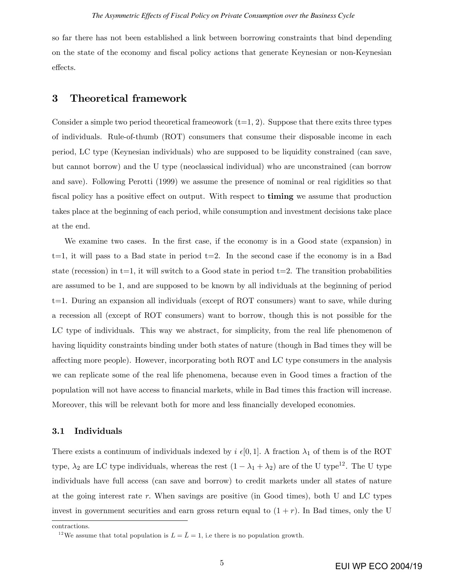so far there has not been established a link between borrowing constraints that bind depending on the state of the economy and Öscal policy actions that generate Keynesian or non-Keynesian effects.

### 3 Theoretical framework

Consider a simple two period theoretical frameowork  $(t=1, 2)$ . Suppose that there exits three types of individuals. Rule-of-thumb (ROT) consumers that consume their disposable income in each period, LC type (Keynesian individuals) who are supposed to be liquidity constrained (can save, but cannot borrow) and the U type (neoclassical individual) who are unconstrained (can borrow and save). Following Perotti (1999) we assume the presence of nominal or real rigidities so that fiscal policy has a positive effect on output. With respect to **timing** we assume that production takes place at the beginning of each period, while consumption and investment decisions take place at the end.

We examine two cases. In the first case, if the economy is in a Good state (expansion) in  $t=1$ , it will pass to a Bad state in period  $t=2$ . In the second case if the economy is in a Bad state (recession) in  $t=1$ , it will switch to a Good state in period  $t=2$ . The transition probabilities are assumed to be 1, and are supposed to be known by all individuals at the beginning of period t=1. During an expansion all individuals (except of ROT consumers) want to save, while during a recession all (except of ROT consumers) want to borrow, though this is not possible for the LC type of individuals. This way we abstract, for simplicity, from the real life phenomenon of having liquidity constraints binding under both states of nature (though in Bad times they will be a§ecting more people). However, incorporating both ROT and LC type consumers in the analysis we can replicate some of the real life phenomena, because even in Good times a fraction of the population will not have access to Önancial markets, while in Bad times this fraction will increase. Moreover, this will be relevant both for more and less financially developed economies.

#### 3.1 Individuals

There exists a continuum of individuals indexed by  $i \in [0, 1]$ . A fraction  $\lambda_1$  of them is of the ROT type,  $\lambda_2$  are LC type individuals, whereas the rest  $(1 - \lambda_1 + \lambda_2)$  are of the U type<sup>12</sup>. The U type individuals have full access (can save and borrow) to credit markets under all states of nature at the going interest rate r. When savings are positive (in Good times), both U and LC types invest in government securities and earn gross return equal to  $(1 + r)$ . In Bad times, only the U

contractions.

<sup>&</sup>lt;sup>12</sup>We assume that total population is  $L = \overline{L} = 1$ , i.e there is no population growth.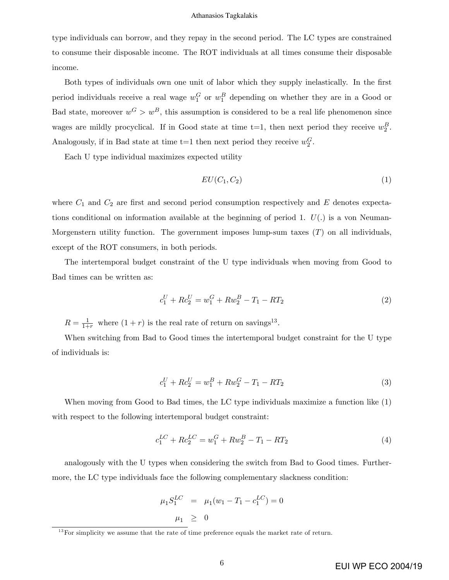type individuals can borrow, and they repay in the second period. The LC types are constrained to consume their disposable income. The ROT individuals at all times consume their disposable income.

Both types of individuals own one unit of labor which they supply inelastically. In the first period individuals receive a real wage  $w_1^G$  or  $w_1^B$  depending on whether they are in a Good or Bad state, moreover  $w^G>w^B$ , this assumption is considered to be a real life phenomenon since wages are mildly procyclical. If in Good state at time t=1, then next period they receive  $w_2^B$ . Analogously, if in Bad state at time  $t=1$  then next period they receive  $w_2^G$ .

Each U type individual maximizes expected utility

$$
EU(C_1, C_2) \tag{1}
$$

where  $C_1$  and  $C_2$  are first and second period consumption respectively and E denotes expectations conditional on information available at the beginning of period 1.  $U(.)$  is a von Neuman-Morgenstern utility function. The government imposes lump-sum taxes  $(T)$  on all individuals, except of the ROT consumers, in both periods.

The intertemporal budget constraint of the U type individuals when moving from Good to Bad times can be written as:

$$
c_1^U + R c_2^U = w_1^G + R w_2^B - T_1 - R T_2 \tag{2}
$$

 $R = \frac{1}{1+r}$  where  $(1+r)$  is the real rate of return on savings<sup>13</sup>.

When switching from Bad to Good times the intertemporal budget constraint for the U type of individuals is:

$$
c_1^U + R c_2^U = w_1^B + R w_2^G - T_1 - R T_2 \tag{3}
$$

When moving from Good to Bad times, the LC type individuals maximize a function like (1) with respect to the following intertemporal budget constraint:

$$
c_1^{LC} + Rc_2^{LC} = w_1^G + Rw_2^B - T_1 - RT_2 \tag{4}
$$

analogously with the U types when considering the switch from Bad to Good times. Furthermore, the LC type individuals face the following complementary slackness condition:

$$
\mu_1 S_1^{LC} = \mu_1 (w_1 - T_1 - c_1^{LC}) = 0
$$
  

$$
\mu_1 \geq 0
$$

 $13$  For simplicity we assume that the rate of time preference equals the market rate of return.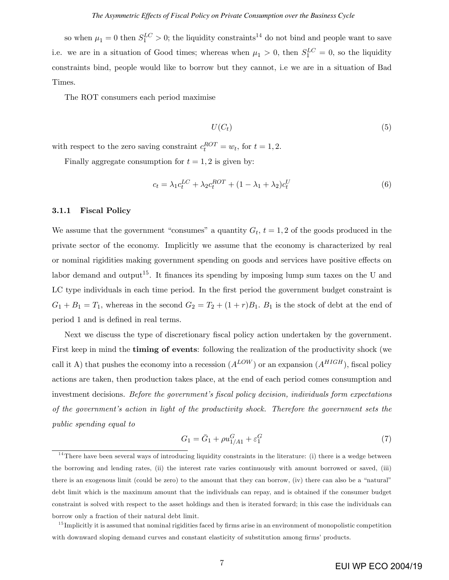so when  $\mu_1 = 0$  then  $S_1^{LC} > 0$ ; the liquidity constraints<sup>14</sup> do not bind and people want to save i.e. we are in a situation of Good times; whereas when  $\mu_1 > 0$ , then  $S_1^{LC} = 0$ , so the liquidity constraints bind, people would like to borrow but they cannot, i.e we are in a situation of Bad Times.

The ROT consumers each period maximise

$$
U(C_t) \tag{5}
$$

with respect to the zero saving constraint  $c_t^{ROT} = w_t$ , for  $t = 1, 2$ .

Finally aggregate consumption for  $t = 1, 2$  is given by:

$$
c_t = \lambda_1 c_t^{LC} + \lambda_2 c_t^{ROT} + (1 - \lambda_1 + \lambda_2) c_t^U
$$
\n
$$
(6)
$$

#### 3.1.1 Fiscal Policy

We assume that the government "consumes" a quantity  $G_t$ ,  $t = 1, 2$  of the goods produced in the private sector of the economy. Implicitly we assume that the economy is characterized by real or nominal rigidities making government spending on goods and services have positive effects on labor demand and output<sup>15</sup>. It finances its spending by imposing lump sum taxes on the U and LC type individuals in each time period. In the first period the government budget constraint is  $G_1 + B_1 = T_1$ , whereas in the second  $G_2 = T_2 + (1+r)B_1$ .  $B_1$  is the stock of debt at the end of period 1 and is defined in real terms.

Next we discuss the type of discretionary fiscal policy action undertaken by the government. First keep in mind the timing of events: following the realization of the productivity shock (we call it A) that pushes the economy into a recession  $(A^{LOW})$  or an expansion  $(A^{HIGH})$ , fiscal policy actions are taken, then production takes place, at the end of each period comes consumption and investment decisions. Before the government's fiscal policy decision, individuals form expectations of the government's action in light of the productivity shock. Therefore the government sets the public spending equal to

$$
G_1 = \bar{G}_1 + \rho u_{1/A1}^G + \varepsilon_1^G \tag{7}
$$

 $14$ There have been several ways of introducing liquidity constraints in the literature: (i) there is a wedge between the borrowing and lending rates, (ii) the interest rate varies continuously with amount borrowed or saved, (iii) there is an exogenous limit (could be zero) to the amount that they can borrow, (iv) there can also be a "natural" debt limit which is the maximum amount that the individuals can repay, and is obtained if the consumer budget constraint is solved with respect to the asset holdings and then is iterated forward; in this case the individuals can borrow only a fraction of their natural debt limit.

<sup>&</sup>lt;sup>15</sup> Implicitly it is assumed that nominal rigidities faced by firms arise in an environment of monopolistic competition with downward sloping demand curves and constant elasticity of substitution among firms' products.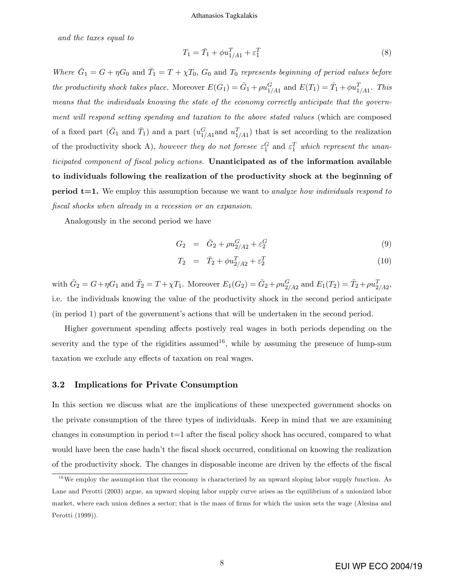and the taxes equal to

$$
T_1 = \bar{T}_1 + \phi u_{1/A1}^T + \varepsilon_1^T \tag{8}
$$

Where  $\bar{G}_1 = G + \eta G_0$  and  $\bar{T}_1 = T + \chi T_0$ ,  $G_0$  and  $T_0$  represents beginning of period values before the productivity shock takes place. Moreover  $E(G_1) = \bar{G}_1 + \rho u_{1/A_1}^G$  and  $E(T_1) = \bar{T}_1 + \phi u_{1/A_1}^T$ . This means that the individuals knowing the state of the economy correctly anticipate that the government will respond setting spending and taxation to the above stated values (which are composed of a fixed part  $(\bar{G}_1 \text{ and } \bar{T}_1)$  and a part  $(u_{1/A1}^G \text{ and } u_{1/A1}^T)$  that is set according to the realization of the productivity shock A), however they do not foresee  $\varepsilon_1^G$  and  $\varepsilon_1^T$  which represent the unanticipated component of fiscal policy actions. Unanticipated as of the information available to individuals following the realization of the productivity shock at the beginning of **period t=1.** We employ this assumption because we want to *analyze how individuals respond to* fiscal shocks when already in a recession or an expansion.

Analogously in the second period we have

$$
G_2 = \bar{G}_2 + \rho u_{2/A2}^G + \varepsilon_2^G \tag{9}
$$

$$
T_2 = \bar{T}_2 + \phi u_{2/A2}^T + \varepsilon_2^T \tag{10}
$$

with  $\bar{G}_2 = G + \eta G_1$  and  $\bar{T}_2 = T + \chi T_1$ . Moreover  $E_1(G_2) = \bar{G}_2 + \rho u_{2/A2}^G$  and  $E_1(T_2) = \bar{T}_2 + \rho u_{2/A2}^T$ , i.e. the individuals knowing the value of the productivity shock in the second period anticipate  $(in period 1)$  part of the government's actions that will be undertaken in the second period.

Higher government spending affects postively real wages in both periods depending on the severity and the type of the rigidities assumed<sup>16</sup>, while by assuming the presence of lump-sum taxation we exclude any effects of taxation on real wages.

#### 3.2 Implications for Private Consumption

In this section we discuss what are the implications of these unexpected government shocks on the private consumption of the three types of individuals. Keep in mind that we are examining changes in consumption in period  $t=1$  after the fiscal policy shock has occured, compared to what would have been the case hadn't the fiscal shock occurred, conditional on knowing the realization of the productivity shock. The changes in disposable income are driven by the effects of the fiscal

 $16$  We employ the assumption that the economy is characterized by an upward sloping labor supply function. As Lane and Perotti (2003) argue, an upward sloping labor supply curve arises as the equilibrium of a unionized labor market, where each union defines a sector; that is the mass of firms for which the union sets the wage (Alesina and Perotti (1999)).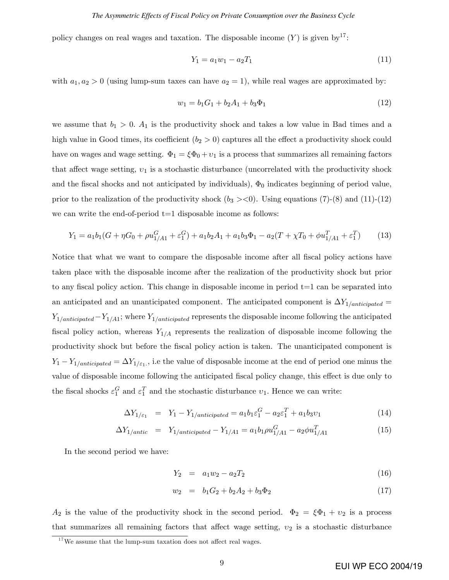#### *The Asymmetric Effects of Fiscal Policy on Private Consumption over the Business Cycle*

policy changes on real wages and taxation. The disposable income  $(Y)$  is given by<sup>17</sup>:

$$
Y_1 = a_1 w_1 - a_2 T_1 \tag{11}
$$

with  $a_1, a_2 > 0$  (using lump-sum taxes can have  $a_2 = 1$ ), while real wages are approximated by:

$$
w_1 = b_1 G_1 + b_2 A_1 + b_3 \Phi_1 \tag{12}
$$

we assume that  $b_1 > 0$ .  $A_1$  is the productivity shock and takes a low value in Bad times and a high value in Good times, its coefficient  $(b_2 > 0)$  captures all the effect a productivity shock could have on wages and wage setting.  $\Phi_1 = \xi \Phi_0 + v_1$  is a process that summarizes all remaining factors that affect wage setting,  $v_1$  is a stochastic disturbance (uncorrelated with the productivity shock and the fiscal shocks and not anticipated by individuals),  $\Phi_0$  indicates beginning of period value, prior to the realization of the productivity shock  $(b_3 \gt 0)$ . Using equations (7)-(8) and (11)-(12) we can write the end-of-period  $t=1$  disposable income as follows:

$$
Y_1 = a_1 b_1 (G + \eta G_0 + \rho u_{1/A1}^G + \varepsilon_1^G) + a_1 b_2 A_1 + a_1 b_3 \Phi_1 - a_2 (T + \chi T_0 + \phi u_{1/A1}^T + \varepsilon_1^T)
$$
(13)

Notice that what we want to compare the disposable income after all fiscal policy actions have taken place with the disposable income after the realization of the productivity shock but prior to any fiscal policy action. This change in disposable income in period  $t=1$  can be separated into an anticipated and an unanticipated component. The anticipated component is  $\Delta Y_{1/anticipated} =$  $Y_{1/anticipated}-Y_{1/41}$ ; where  $Y_{1/anticipated}$  represents the disposable income following the anticipated fiscal policy action, whereas  $Y_{1/A}$  represents the realization of disposable income following the productivity shock but before the Öscal policy action is taken. The unanticipated component is  $Y_1 - Y_1$ <sub>/anticipated</sub> =  $\Delta Y_{1/\varepsilon_1}$ , i.e the value of disposable income at the end of period one minus the value of disposable income following the anticipated fiscal policy change, this effect is due only to the fiscal shocks  $\varepsilon_1^G$  and  $\varepsilon_1^T$  and the stochastic disturbance  $v_1$ . Hence we can write:

$$
\Delta Y_{1/\varepsilon_1} = Y_1 - Y_{1/anticipated} = a_1 b_1 \varepsilon_1^G - a_2 \varepsilon_1^T + a_1 b_3 v_1 \tag{14}
$$

$$
\Delta Y_{1/antic} = Y_{1/anticipated} - Y_{1/Al} = a_1 b_1 \rho u_{1/Al}^G - a_2 \phi u_{1/Al}^T \tag{15}
$$

In the second period we have:

$$
Y_2 = a_1 w_2 - a_2 T_2 \tag{16}
$$

$$
w_2 = b_1 G_2 + b_2 A_2 + b_3 \Phi_2 \tag{17}
$$

 $A_2$  is the value of the productivity shock in the second period.  $\Phi_2 = \xi \Phi_1 + v_2$  is a process that summarizes all remaining factors that affect wage setting,  $v_2$  is a stochastic disturbance

 $17$  We assume that the lump-sum taxation does not affect real wages.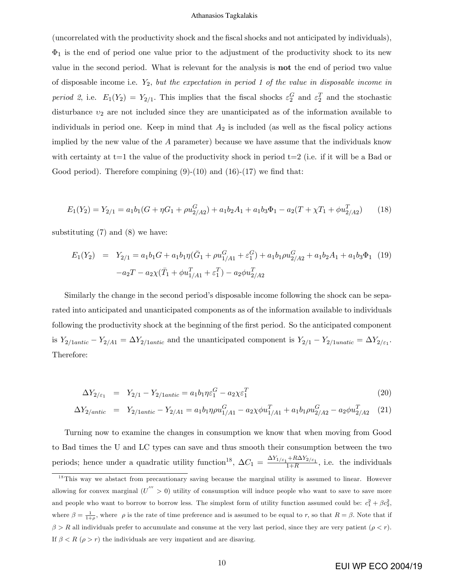(uncorrelated with the productivity shock and the Öscal shocks and not anticipated by individuals),  $\Phi_1$  is the end of period one value prior to the adjustment of the productivity shock to its new value in the second period. What is relevant for the analysis is not the end of period two value of disposable income i.e.  $Y_2$ , but the expectation in period 1 of the value in disposable income in period 2, i.e.  $E_1(Y_2) = Y_{2/1}$ . This implies that the fiscal shocks  $\varepsilon_2^G$  and  $\varepsilon_2^T$  and the stochastic disturbance  $v_2$  are not included since they are unanticipated as of the information available to individuals in period one. Keep in mind that  $A_2$  is included (as well as the fiscal policy actions implied by the new value of the  $A$  parameter) because we have assume that the individuals know with certainty at  $t=1$  the value of the productivity shock in period  $t=2$  (i.e. if it will be a Bad or Good period). Therefore compining  $(9)-(10)$  and  $(16)-(17)$  we find that:

$$
E_1(Y_2) = Y_{2/1} = a_1 b_1 (G + \eta G_1 + \rho u_{2/2}^G) + a_1 b_2 A_1 + a_1 b_3 \Phi_1 - a_2 (T + \chi T_1 + \phi u_{2/2}^T)
$$
(18)

substituting  $(7)$  and  $(8)$  we have:

$$
E_1(Y_2) = Y_{2/1} = a_1b_1G + a_1b_1\eta(\bar{G}_1 + \rho u_{1/A1}^G + \varepsilon_1^G) + a_1b_1\rho u_{2/A2}^G + a_1b_2A_1 + a_1b_3\Phi_1 \tag{19}
$$

$$
-a_2T - a_2\chi(\bar{T}_1 + \phi u_{1/A1}^T + \varepsilon_1^T) - a_2\phi u_{2/A2}^T
$$

Similarly the change in the second period's disposable income following the shock can be separated into anticipated and unanticipated components as of the information available to individuals following the productivity shock at the beginning of the first period. So the anticipated component is  $Y_{2/1anti} - Y_{2/41} = \Delta Y_{2/1anti}$  and the unanticipated component is  $Y_{2/1} - Y_{2/1unit} = \Delta Y_{2/\varepsilon_1}$ . Therefore:

$$
\Delta Y_{2/\varepsilon_1} = Y_{2/1} - Y_{2/1\text{antic}} = a_1 b_1 \eta \varepsilon_1^G - a_2 \chi \varepsilon_1^T \tag{20}
$$

$$
\Delta Y_{2/antic} = Y_{2/1antic} - Y_{2/Al} = a_1 b_1 \eta \rho u_{1/Al}^G - a_2 \chi \phi u_{1/Al}^T + a_1 b_1 \rho u_{2/Al}^G - a_2 \phi u_{2/Al}^T
$$
 (21)

Turning now to examine the changes in consumption we know that when moving from Good to Bad times the U and LC types can save and thus smooth their consumption between the two periods; hence under a quadratic utility function<sup>18</sup>,  $\Delta C_1 = \frac{\Delta Y_{1/\varepsilon_1} + R \Delta Y_{2/\varepsilon_1}}{1+R}$ , i.e. the individuals

 $18$ This way we abstact from precautionary saving because the marginal utility is assumed to linear. However allowing for convex marginal  $(U^{'''} > 0)$  utility of consumption will induce people who want to save to save more and people who want to borrow to borrow less. The simplest form of utility function assumed could be:  $c_1^2 + \beta c_2^2$ , where  $\beta = \frac{1}{1+\rho}$ , where  $\rho$  is the rate of time preference and is assumed to be equal to r, so that  $R = \beta$ . Note that if  $\beta > R$  all individuals prefer to accumulate and consume at the very last period, since they are very patient  $(\rho < r)$ . If  $\beta < R$  ( $\rho > r$ ) the individuals are very impatient and are disaving.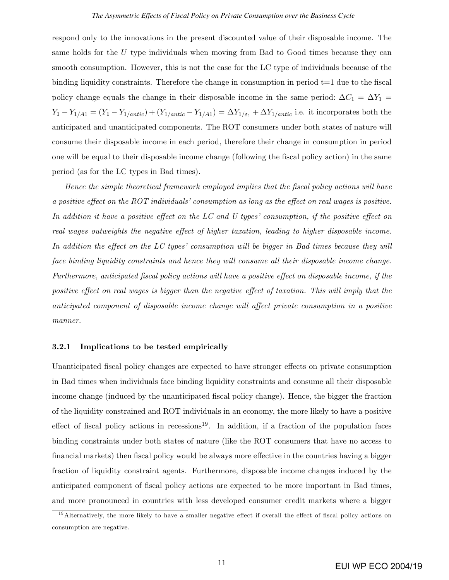respond only to the innovations in the present discounted value of their disposable income. The same holds for the  $U$  type individuals when moving from Bad to Good times because they can smooth consumption. However, this is not the case for the LC type of individuals because of the binding liquidity constraints. Therefore the change in consumption in period  $t=1$  due to the fiscal policy change equals the change in their disposable income in the same period:  $\Delta C_1 = \Delta Y_1 =$  $Y_1 - Y_{1/A1} = (Y_1 - Y_{1/antic}) + (Y_{1/antic} - Y_{1/A1}) = \Delta Y_{1/\varepsilon_1} + \Delta Y_{1/antic}$  i.e. it incorporates both the anticipated and unanticipated components. The ROT consumers under both states of nature will consume their disposable income in each period, therefore their change in consumption in period one will be equal to their disposable income change (following the Öscal policy action) in the same period (as for the LC types in Bad times).

Hence the simple theoretical framework employed implies that the fiscal policy actions will have a positive effect on the ROT individuals' consumption as long as the effect on real wages is positive. In addition it have a positive effect on the LC and U types' consumption, if the positive effect on real wages outweights the negative effect of higher taxation, leading to higher disposable income. In addition the effect on the LC types' consumption will be bigger in Bad times because they will face binding liquidity constraints and hence they will consume all their disposable income change. Furthermore, anticipated fiscal policy actions will have a positive effect on disposable income, if the positive effect on real wages is bigger than the negative effect of taxation. This will imply that the anticipated component of disposable income change will affect private consumption in a positive manner.

#### 3.2.1 Implications to be tested empirically

Unanticipated fiscal policy changes are expected to have stronger effects on private consumption in Bad times when individuals face binding liquidity constraints and consume all their disposable income change (induced by the unanticipated fiscal policy change). Hence, the bigger the fraction of the liquidity constrained and ROT individuals in an economy, the more likely to have a positive effect of fiscal policy actions in recessions<sup>19</sup>. In addition, if a fraction of the population faces binding constraints under both states of nature (like the ROT consumers that have no access to financial markets) then fiscal policy would be always more effective in the countries having a bigger fraction of liquidity constraint agents. Furthermore, disposable income changes induced by the anticipated component of fiscal policy actions are expected to be more important in Bad times, and more pronounced in countries with less developed consumer credit markets where a bigger

 $19$ Alternatively, the more likely to have a smaller negative effect if overall the effect of fiscal policy actions on consumption are negative.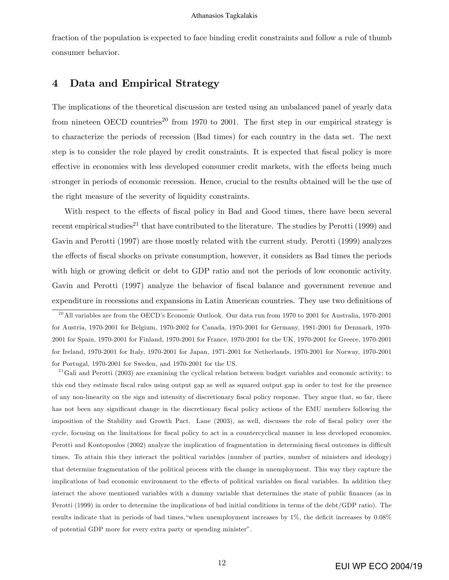fraction of the population is expected to face binding credit constraints and follow a rule of thumb consumer behavior.

## 4 Data and Empirical Strategy

The implications of the theoretical discussion are tested using an unbalanced panel of yearly data from nineteen OECD countries<sup>20</sup> from 1970 to 2001. The first step in our empirical strategy is to characterize the periods of recession (Bad times) for each country in the data set. The next step is to consider the role played by credit constraints. It is expected that fiscal policy is more effective in economies with less developed consumer credit markets, with the effects being much stronger in periods of economic recession. Hence, crucial to the results obtained will be the use of the right measure of the severity of liquidity constraints.

With respect to the effects of fiscal policy in Bad and Good times, there have been several recent empirical studies<sup>21</sup> that have contributed to the literature. The studies by Perotti (1999) and Gavin and Perotti (1997) are those mostly related with the current study. Perotti (1999) analyzes the effects of fiscal shocks on private consumption, however, it considers as Bad times the periods with high or growing deficit or debt to GDP ratio and not the periods of low economic activity. Gavin and Perotti (1997) analyze the behavior of fiscal balance and government revenue and expenditure in recessions and expansions in Latin American countries. They use two definitions of

 $^{21}$ Gali and Perotti (2003) are examining the cyclical relation between budget variables and economic activity; to this end they estimate fiscal rules using output gap as well as squared output gap in order to test for the presence of any non-linearity on the sign and intensity of discretionary Öscal policy response. They argue that, so far, there has not been any significant change in the discretionary fiscal policy actions of the EMU members following the imposition of the Stability and Growth Pact. Lane (2003), as well, discusses the role of fiscal policy over the cycle, focusing on the limitations for fiscal policy to act in a countercyclical manner in less developed economies. Perotti and Kontopoulos (2002) analyze the implication of fragmentation in determining fiscal outcomes in difficult times. To attain this they interact the political variables (number of parties, number of ministers and ideology) that determine fragmentation of the political process with the change in unemployment. This way they capture the implications of bad economic environment to the effects of political variables on fiscal variables. In addition they interact the above mentioned variables with a dummy variable that determines the state of public finances (as in Perotti (1999) in order to determine the implications of bad initial conditions in terms of the debt/GDP ratio). The results indicate that in periods of bad times, "when unemployment increases by  $1\%$ , the deficit increases by  $0.08\%$ of potential GDP more for every extra party or spending ministerî.

<sup>&</sup>lt;sup>20</sup> All variables are from the OECD's Economic Outlook. Our data run from 1970 to 2001 for Australia, 1970-2001 for Austria, 1970-2001 for Belgium, 1970-2002 for Canada, 1970-2001 for Germany, 1981-2001 for Denmark, 1970- 2001 for Spain, 1970-2001 for Finland, 1970-2001 for France, 1970-2001 for the UK, 1970-2001 for Greece, 1970-2001 for Ireland, 1970-2001 for Italy, 1970-2001 for Japan, 1971-2001 for Netherlands, 1970-2001 for Norway, 1970-2001 for Portugal, 1970-2001 for Sweden, and 1970-2001 for the US.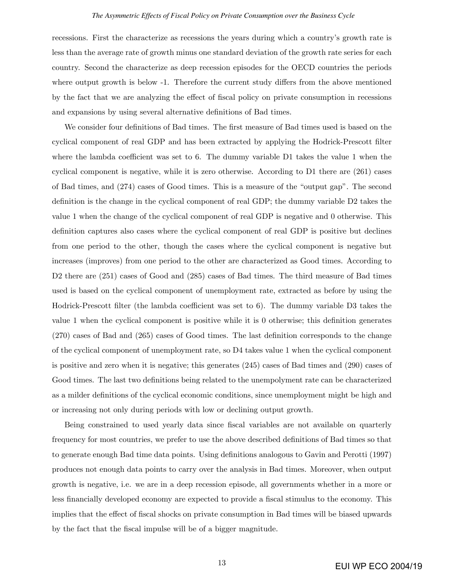#### *The Asymmetric Effects of Fiscal Policy on Private Consumption over the Business Cycle*

recessions. First the characterize as recessions the years during which a country's growth rate is less than the average rate of growth minus one standard deviation of the growth rate series for each country. Second the characterize as deep recession episodes for the OECD countries the periods where output growth is below -1. Therefore the current study differs from the above mentioned by the fact that we are analyzing the effect of fiscal policy on private consumption in recessions and expansions by using several alternative definitions of Bad times.

We consider four definitions of Bad times. The first measure of Bad times used is based on the cyclical component of real GDP and has been extracted by applying the Hodrick-Prescott filter where the lambda coefficient was set to 6. The dummy variable  $D1$  takes the value 1 when the cyclical component is negative, while it is zero otherwise. According to D1 there are (261) cases of Bad times, and  $(274)$  cases of Good times. This is a measure of the "output gap". The second definition is the change in the cyclical component of real GDP; the dummy variable  $D2$  takes the value 1 when the change of the cyclical component of real GDP is negative and 0 otherwise. This definition captures also cases where the cyclical component of real GDP is positive but declines from one period to the other, though the cases where the cyclical component is negative but increases (improves) from one period to the other are characterized as Good times. According to D2 there are (251) cases of Good and (285) cases of Bad times. The third measure of Bad times used is based on the cyclical component of unemployment rate, extracted as before by using the Hodrick-Prescott filter (the lambda coefficient was set to 6). The dummy variable D3 takes the value 1 when the cyclical component is positive while it is 0 otherwise; this definition generates  $(270)$  cases of Bad and  $(265)$  cases of Good times. The last definition corresponds to the change of the cyclical component of unemployment rate, so D4 takes value 1 when the cyclical component is positive and zero when it is negative; this generates (245) cases of Bad times and (290) cases of Good times. The last two definitions being related to the unempolyment rate can be characterized as a milder definitions of the cyclical economic conditions, since unemployment might be high and or increasing not only during periods with low or declining output growth.

Being constrained to used yearly data since fiscal variables are not available on quarterly frequency for most countries, we prefer to use the above described definitions of Bad times so that to generate enough Bad time data points. Using definitions analogous to Gavin and Perotti (1997) produces not enough data points to carry over the analysis in Bad times. Moreover, when output growth is negative, i.e. we are in a deep recession episode, all governments whether in a more or less financially developed economy are expected to provide a fiscal stimulus to the economy. This implies that the effect of fiscal shocks on private consumption in Bad times will be biased upwards by the fact that the Öscal impulse will be of a bigger magnitude.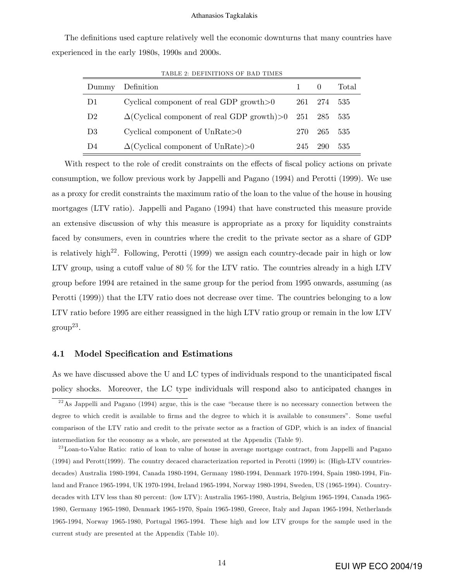The definitions used capture relatively well the economic downturns that many countries have experienced in the early 1980s, 1990s and 2000s.

| Dummy          | Definition                                             |     |         | Total |
|----------------|--------------------------------------------------------|-----|---------|-------|
| D <sub>1</sub> | Cyclical component of real GDP growth $>0$             |     | 261 274 | 535   |
| D <sub>2</sub> | $\Delta$ (Cyclical component of real GDP growth)>0 251 |     | 285     | 535   |
| D3             | Cyclical component of $UnRate>0$                       | 270 | 265     | 535   |
| D4             | $\Delta$ (Cyclical component of UnRate)>0              | 245 | 290     | 535   |

TABLE 2: DEFINITIONS OF BAD TIMES

With respect to the role of credit constraints on the effects of fiscal policy actions on private consumption, we follow previous work by Jappelli and Pagano (1994) and Perotti (1999). We use as a proxy for credit constraints the maximum ratio of the loan to the value of the house in housing mortgages (LTV ratio). Jappelli and Pagano (1994) that have constructed this measure provide an extensive discussion of why this measure is appropriate as a proxy for liquidity constraints faced by consumers, even in countries where the credit to the private sector as a share of GDP is relatively high<sup>22</sup>. Following, Perotti  $(1999)$  we assign each country-decade pair in high or low LTV group, using a cutoff value of  $80\%$  for the LTV ratio. The countries already in a high LTV group before 1994 are retained in the same group for the period from 1995 onwards, assuming (as Perotti (1999)) that the LTV ratio does not decrease over time. The countries belonging to a low LTV ratio before 1995 are either reassigned in the high LTV ratio group or remain in the low LTV  $\mathrm{group}^{23}.$ 

#### 4.1 Model Specification and Estimations

As we have discussed above the U and LC types of individuals respond to the unanticipated fiscal policy shocks. Moreover, the LC type individuals will respond also to anticipated changes in

 $^{22}$ As Jappelli and Pagano (1994) argue, this is the case "because there is no necessary connection between the degree to which credit is available to firms and the degree to which it is available to consumers". Some useful comparison of the LTV ratio and credit to the private sector as a fraction of GDP, which is an index of financial intermediation for the economy as a whole, are presented at the Appendix (Table 9).

<sup>&</sup>lt;sup>23</sup> Loan-to-Value Ratio: ratio of loan to value of house in average mortgage contract, from Jappelli and Pagano (1994) and Perott(1999). The country decaced characterization reported in Perotti (1999) is: (High-LTV countriesdecades) Australia 1980-1994, Canada 1980-1994, Germany 1980-1994, Denmark 1970-1994, Spain 1980-1994, Finland and France 1965-1994, UK 1970-1994, Ireland 1965-1994, Norway 1980-1994, Sweden, US (1965-1994). Countrydecades with LTV less than 80 percent: (low LTV): Australia 1965-1980, Austria, Belgium 1965-1994, Canada 1965- 1980, Germany 1965-1980, Denmark 1965-1970, Spain 1965-1980, Greece, Italy and Japan 1965-1994, Netherlands 1965-1994, Norway 1965-1980, Portugal 1965-1994. These high and low LTV groups for the sample used in the current study are presented at the Appendix (Table 10).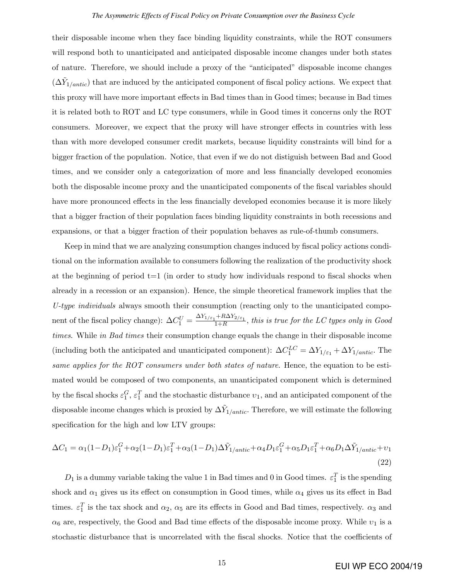their disposable income when they face binding liquidity constraints, while the ROT consumers will respond both to unanticipated and anticipated disposable income changes under both states of nature. Therefore, we should include a proxy of the "anticipated" disposable income changes  $(\Delta \tilde{Y}_{1/antic})$  that are induced by the anticipated component of fiscal policy actions. We expect that this proxy will have more important effects in Bad times than in Good times; because in Bad times it is related both to ROT and LC type consumers, while in Good times it concerns only the ROT consumers. Moreover, we expect that the proxy will have stronger effects in countries with less than with more developed consumer credit markets, because liquidity constraints will bind for a bigger fraction of the population. Notice, that even if we do not distiguish between Bad and Good times, and we consider only a categorization of more and less financially developed economies both the disposable income proxy and the unanticipated components of the fiscal variables should have more pronounced effects in the less financially developed economies because it is more likely that a bigger fraction of their population faces binding liquidity constraints in both recessions and expansions, or that a bigger fraction of their population behaves as rule-of-thumb consumers.

Keep in mind that we are analyzing consumption changes induced by fiscal policy actions conditional on the information available to consumers following the realization of the productivity shock at the beginning of period  $t=1$  (in order to study how individuals respond to fiscal shocks when already in a recession or an expansion). Hence, the simple theoretical framework implies that the U-type individuals always smooth their consumption (reacting only to the unanticipated component of the fiscal policy change):  $\Delta C_1^U = \frac{\Delta Y_{1/\varepsilon_1} + R\Delta Y_{2/\varepsilon_1}}{1+R}$ , this is true for the LC types only in Good times. While in Bad times their consumption change equals the change in their disposable income (including both the anticipated and unanticipated component):  $\Delta C_1^{LC} = \Delta Y_{1/\varepsilon_1} + \Delta Y_{1/antic}$ . The same applies for the ROT consumers under both states of nature. Hence, the equation to be estimated would be composed of two components, an unanticipated component which is determined by the fiscal shocks  $\varepsilon_1^G$ ,  $\varepsilon_1^T$  and the stochastic disturbance  $v_1$ , and an anticipated component of the disposable income changes which is proxied by  $\Delta \tilde{Y}_{1/antic}$ . Therefore, we will estimate the following specification for the high and low LTV groups:

$$
\Delta C_1 = \alpha_1 (1 - D_1) \varepsilon_1^G + \alpha_2 (1 - D_1) \varepsilon_1^T + \alpha_3 (1 - D_1) \Delta \tilde{Y}_{1/antic} + \alpha_4 D_1 \varepsilon_1^G + \alpha_5 D_1 \varepsilon_1^T + \alpha_6 D_1 \Delta \tilde{Y}_{1/antic} + \nu_1
$$
\n(22)

 $D_1$  is a dummy variable taking the value 1 in Bad times and 0 in Good times.  $\varepsilon_1^T$  is the spending shock and  $\alpha_1$  gives us its effect on consumption in Good times, while  $\alpha_4$  gives us its effect in Bad times.  $\varepsilon_1^T$  is the tax shock and  $\alpha_2$ ,  $\alpha_5$  are its effects in Good and Bad times, respectively.  $\alpha_3$  and  $\alpha_6$  are, respectively, the Good and Bad time effects of the disposable income proxy. While  $v_1$  is a stochastic disturbance that is uncorrelated with the fiscal shocks. Notice that the coefficients of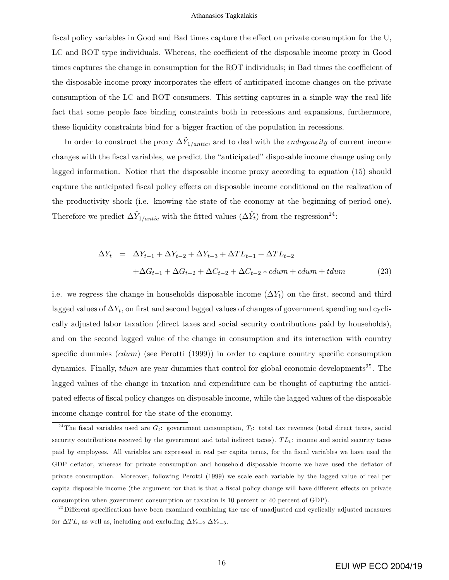fiscal policy variables in Good and Bad times capture the effect on private consumption for the U, LC and ROT type individuals. Whereas, the coefficient of the disposable income proxy in Good times captures the change in consumption for the ROT individuals; in Bad times the coefficient of the disposable income proxy incorporates the effect of anticipated income changes on the private consumption of the LC and ROT consumers. This setting captures in a simple way the real life fact that some people face binding constraints both in recessions and expansions, furthermore, these liquidity constraints bind for a bigger fraction of the population in recessions.

In order to construct the proxy  $\Delta \tilde{Y}_{1/antic}$ , and to deal with the *endogeneity* of current income changes with the fiscal variables, we predict the "anticipated" disposable income change using only lagged information. Notice that the disposable income proxy according to equation (15) should capture the anticipated fiscal policy effects on disposable income conditional on the realization of the productivity shock (i.e. knowing the state of the economy at the beginning of period one). Therefore we predict  $\Delta \tilde{Y}_{1/antic}$  with the fitted values  $(\Delta \hat{Y}_t)$  from the regression<sup>24</sup>:

$$
\Delta Y_t = \Delta Y_{t-1} + \Delta Y_{t-2} + \Delta Y_{t-3} + \Delta T L_{t-1} + \Delta T L_{t-2}
$$
  
+
$$
\Delta G_{t-1} + \Delta G_{t-2} + \Delta C_{t-2} + \Delta C_{t-2} * cdum + cdum + tdum
$$
 (23)

i.e. we regress the change in households disposable income  $(\Delta Y_t)$  on the first, second and third lagged values of  $\Delta Y_t,$  on first and second lagged values of changes of government spending and cyclically adjusted labor taxation (direct taxes and social security contributions paid by households), and on the second lagged value of the change in consumption and its interaction with country specific dummies  $(cdum)$  (see Perotti (1999)) in order to capture country specific consumption dynamics. Finally,  $tdu$  are year dummies that control for global economic developments<sup>25</sup>. The lagged values of the change in taxation and expenditure can be thought of capturing the anticipated effects of fiscal policy changes on disposable income, while the lagged values of the disposable income change control for the state of the economy.

<sup>&</sup>lt;sup>24</sup>The fiscal variables used are  $G_t$ : government consumption,  $T_t$ : total tax revenues (total direct taxes, social security contributions received by the government and total indirect taxes).  $TL_t$ : income and social security taxes paid by employees. All variables are expressed in real per capita terms, for the Öscal variables we have used the GDP deflator, whereas for private consumption and household disposable income we have used the deflator of private consumption. Moreover, following Perotti (1999) we scale each variable by the lagged value of real per capita disposable income (the argument for that is that a fiscal policy change will have different effects on private consumption when government consumption or taxation is 10 percent or 40 percent of GDP).

 $^{25}$ Different specifications have been examined combining the use of unadjusted and cyclically adjusted measures for  $\Delta TL$ , as well as, including and excluding  $\Delta Y_{t-2} \Delta Y_{t-3}$ .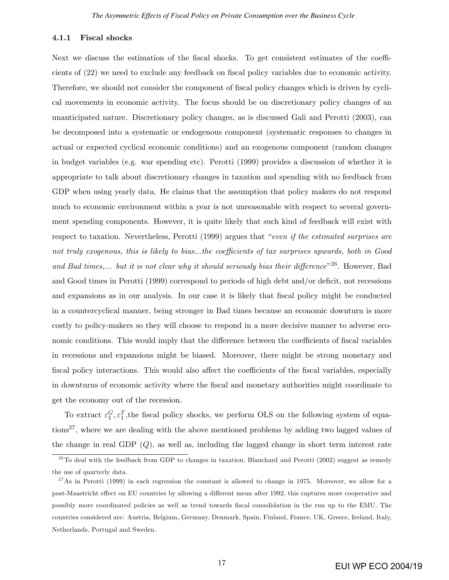#### 4.1.1 Fiscal shocks

Next we discuss the estimation of the fiscal shocks. To get consistent estimates of the coefficients of  $(22)$  we need to exclude any feedback on fiscal policy variables due to economic activity. Therefore, we should not consider the component of fiscal policy changes which is driven by cyclical movements in economic activity. The focus should be on discretionary policy changes of an unanticipated nature. Discretionary policy changes, as is discussed Gali and Perotti (2003), can be decomposed into a systematic or endogenous component (systematic responses to changes in actual or expected cyclical economic conditions) and an exogenous component (random changes in budget variables (e.g. war spending etc). Perotti (1999) provides a discussion of whether it is appropriate to talk about discretionary changes in taxation and spending with no feedback from GDP when using yearly data. He claims that the assumption that policy makers do not respond much to economic environment within a year is not unreasonable with respect to several government spending components. However, it is quite likely that such kind of feedback will exist with respect to taxation. Nevertheless, Perotti  $(1999)$  argues that "even if the estimated surprises are not truly exogenous, this is likely to bias...the coefficients of tax surprises upwards, both in  $Good$ and Bad times,... but it is not clear why it should seriously bias their difference<sup>"26</sup>. However, Bad and Good times in Perotti  $(1999)$  correspond to periods of high debt and/or deficit, not recessions and expansions as in our analysis. In our case it is likely that fiscal policy might be conducted in a countercyclical manner, being stronger in Bad times because an economic downturn is more costly to policy-makers so they will choose to respond in a more decisive manner to adverse economic conditions. This would imply that the difference between the coefficients of fiscal variables in recessions and expansions might be biased. Moreover, there might be strong monetary and fiscal policy interactions. This would also affect the coefficients of the fiscal variables, especially in downturns of economic activity where the Öscal and monetary authorities might coordinate to get the economy out of the recession.

To extract  $\varepsilon_1^G, \varepsilon_1^T$ , the fiscal policy shocks, we perform OLS on the following system of equations<sup>27</sup>, where we are dealing with the above mentioned problems by adding two lagged values of the change in real GDP  $(Q)$ , as well as, including the lagged change in short term interest rate

 $26$  To deal with the feedback from GDP to changes in taxation, Blanchard and Perotti (2002) suggest as remedy the use of quarterly data.

<sup>&</sup>lt;sup>27</sup>As in Perotti (1999) in each regression the constant is allowed to change in 1975. Moreover, we allow for a post-Maastricht effect on EU countries by allowing a different mean after 1992, this captures more cooperative and possibly more coordinated policies as well as trend towards Öscal consolidation in the run up to the EMU. The countries considered are: Austria, Belgium, Germany, Denmark, Spain, Finland, France, UK, Greece, Ireland, Italy, Netherlands, Portugal and Sweden.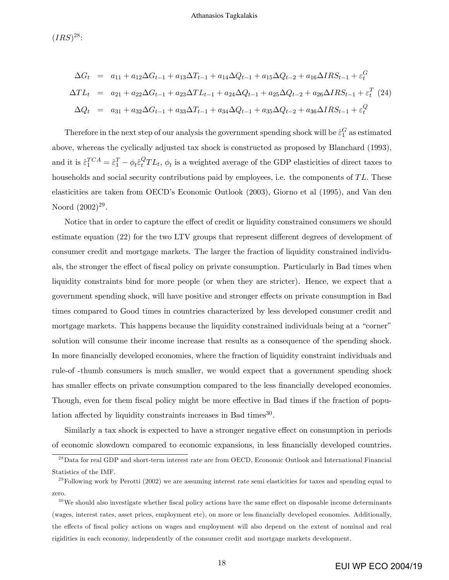$(IRS)^{28}$ :

$$
\Delta G_t = a_{11} + a_{12}\Delta G_{t-1} + a_{13}\Delta T_{t-1} + a_{14}\Delta Q_{t-1} + a_{15}\Delta Q_{t-2} + a_{16}\Delta IRS_{t-1} + \varepsilon_t^G
$$
  
\n
$$
\Delta T L_t = a_{21} + a_{22}\Delta G_{t-1} + a_{23}\Delta T L_{t-1} + a_{24}\Delta Q_{t-1} + a_{25}\Delta Q_{t-2} + a_{26}\Delta IRS_{t-1} + \varepsilon_t^T
$$
 (24)  
\n
$$
\Delta Q_t = a_{31} + a_{32}\Delta G_{t-1} + a_{33}\Delta T_{t-1} + a_{34}\Delta Q_{t-1} + a_{35}\Delta Q_{t-2} + a_{36}\Delta IRS_{t-1} + \varepsilon_t^Q
$$

Therefore in the next step of our analysis the government spending shock will be  $\hat{\varepsilon}_1^G$  as estimated above, whereas the cyclically adjusted tax shock is constructed as proposed by Blanchard (1993), and it is  $\hat{\varepsilon}_1^{TCA} = \hat{\varepsilon}_1^T - \phi_t \hat{\varepsilon}_t^Q TL_t$ ,  $\phi_t$  is a weighted average of the GDP elasticities of direct taxes to households and social security contributions paid by employees, i.e. the components of  $TL$ . These elasticities are taken from OECDís Economic Outlook (2003), Giorno et al (1995), and Van den Noord  $(2002)^{29}$ .

Notice that in order to capture the effect of credit or liquidity constrained consumers we should estimate equation (22) for the two LTV groups that represent different degrees of development of consumer credit and mortgage markets. The larger the fraction of liquidity constrained individuals, the stronger the effect of fiscal policy on private consumption. Particularly in Bad times when liquidity constraints bind for more people (or when they are stricter). Hence, we expect that a government spending shock, will have positive and stronger effects on private consumption in Bad times compared to Good times in countries characterized by less developed consumer credit and mortgage markets. This happens because the liquidity constrained individuals being at a "corner" solution will consume their income increase that results as a consequence of the spending shock. In more financially developed economies, where the fraction of liquidity constraint individuals and rule-of -thumb consumers is much smaller, we would expect that a government spending shock has smaller effects on private consumption compared to the less financially developed economies. Though, even for them fiscal policy might be more effective in Bad times if the fraction of population affected by liquidity constraints increases in Bad times<sup>30</sup>.

Similarly a tax shock is expected to have a stronger negative effect on consumption in periods of economic slowdown compared to economic expansions, in less Önancially developed countries.

<sup>&</sup>lt;sup>28</sup>Data for real GDP and short-term interest rate are from OECD, Economic Outlook and International Financial Statistics of the IMF.

 $^{29}$ Following work by Perotti (2002) we are assuming interest rate semi elasticities for taxes and spending equal to zero.

 $30$  We should also investigate whether fiscal policy actions have the same effect on disposable income determinants (wages, interest rates, asset prices, employment etc), on more or less Önancially developed economies. Additionally, the effects of fiscal policy actions on wages and employment will also depend on the extent of nominal and real rigidities in each economy, independently of the consumer credit and mortgage markets development.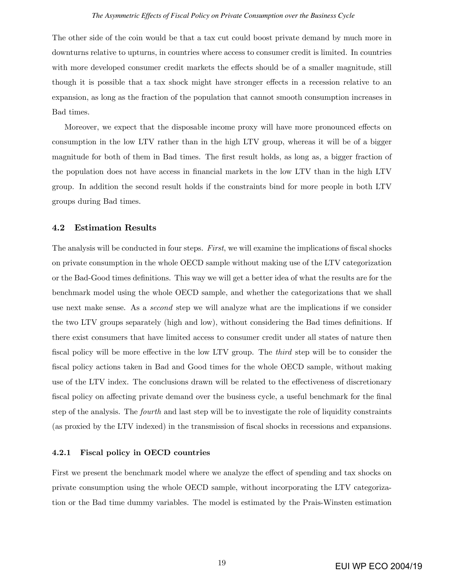The other side of the coin would be that a tax cut could boost private demand by much more in downturns relative to upturns, in countries where access to consumer credit is limited. In countries with more developed consumer credit markets the effects should be of a smaller magnitude, still though it is possible that a tax shock might have stronger effects in a recession relative to an expansion, as long as the fraction of the population that cannot smooth consumption increases in Bad times.

Moreover, we expect that the disposable income proxy will have more pronounced effects on consumption in the low LTV rather than in the high LTV group, whereas it will be of a bigger magnitude for both of them in Bad times. The first result holds, as long as, a bigger fraction of the population does not have access in Önancial markets in the low LTV than in the high LTV group. In addition the second result holds if the constraints bind for more people in both LTV groups during Bad times.

#### 4.2 Estimation Results

The analysis will be conducted in four steps. First, we will examine the implications of fiscal shocks on private consumption in the whole OECD sample without making use of the LTV categorization or the Bad-Good times definitions. This way we will get a better idea of what the results are for the benchmark model using the whole OECD sample, and whether the categorizations that we shall use next make sense. As a *second* step we will analyze what are the implications if we consider the two LTV groups separately (high and low), without considering the Bad times definitions. If there exist consumers that have limited access to consumer credit under all states of nature then fiscal policy will be more effective in the low LTV group. The *third* step will be to consider the fiscal policy actions taken in Bad and Good times for the whole OECD sample, without making use of the LTV index. The conclusions drawn will be related to the effectiveness of discretionary fiscal policy on affecting private demand over the business cycle, a useful benchmark for the final step of the analysis. The fourth and last step will be to investigate the role of liquidity constraints (as proxied by the LTV indexed) in the transmission of Öscal shocks in recessions and expansions.

#### 4.2.1 Fiscal policy in OECD countries

First we present the benchmark model where we analyze the effect of spending and tax shocks on private consumption using the whole OECD sample, without incorporating the LTV categorization or the Bad time dummy variables. The model is estimated by the Prais-Winsten estimation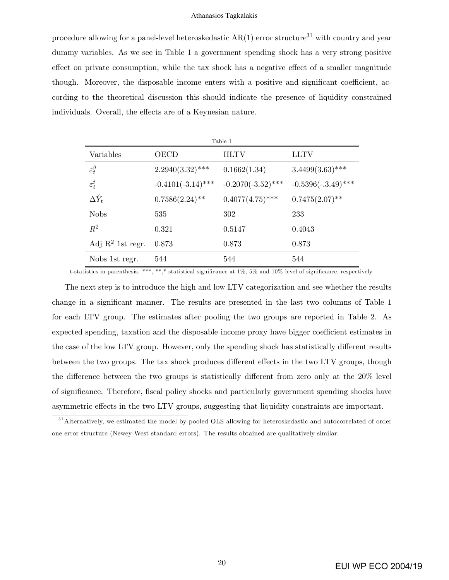procedure allowing for a panel-level heteroskedastic  $AR(1)$  error structure<sup>31</sup> with country and year dummy variables. As we see in Table 1 a government spending shock has a very strong positive effect on private consumption, while the tax shock has a negative effect of a smaller magnitude though. Moreover, the disposable income enters with a positive and significant coefficient, according to the theoretical discussion this should indicate the presence of liquidity constrained individuals. Overall, the effects are of a Keynesian nature.

| Table 1                      |                      |                      |                      |  |  |
|------------------------------|----------------------|----------------------|----------------------|--|--|
| Variables                    | OECD                 | <b>HLTV</b>          | <b>LLTV</b>          |  |  |
| $\varepsilon_t^g$            | $2.2940(3.32)$ ***   | 0.1662(1.34)         | $3.4499(3.63)$ ***   |  |  |
| $\varepsilon_t^t$            | $-0.4101(-3.14)$ *** | $-0.2070(-3.52)$ *** | $-0.5396(-3.49)$ *** |  |  |
| $\Delta \hat{Y}_t$           | $0.7586(2.24)$ **    | $0.4077(4.75)$ ***   | $0.7475(2.07)$ **    |  |  |
| <b>Nobs</b>                  | 535                  | 302                  | 233                  |  |  |
| $R^2$                        | 0.321                | 0.5147               | 0.4043               |  |  |
| Adj $\mathbb{R}^2$ 1st regr. | 0.873                | 0.873                | 0.873                |  |  |
| Nobs 1st regr.               | 544                  | 544                  | 544                  |  |  |

t-statistics in parenthesis. \*\*\*, \*\*,\* statistical significance at  $1\%$ ,  $5\%$  and  $10\%$  level of significance, respectively.

The next step is to introduce the high and low LTV categorization and see whether the results change in a significant manner. The results are presented in the last two columns of Table 1 for each LTV group. The estimates after pooling the two groups are reported in Table 2. As expected spending, taxation and the disposable income proxy have bigger coefficient estimates in the case of the low LTV group. However, only the spending shock has statistically different results between the two groups. The tax shock produces different effects in the two LTV groups, though the difference between the two groups is statistically different from zero only at the  $20\%$  level of significance. Therefore, fiscal policy shocks and particularly government spending shocks have asymmetric effects in the two LTV groups, suggesting that liquidity constraints are important.

<sup>&</sup>lt;sup>31</sup> Alternatively, we estimated the model by pooled OLS allowing for heteroskedastic and autocorrelated of order one error structure (Newey-West standard errors). The results obtained are qualitatively similar.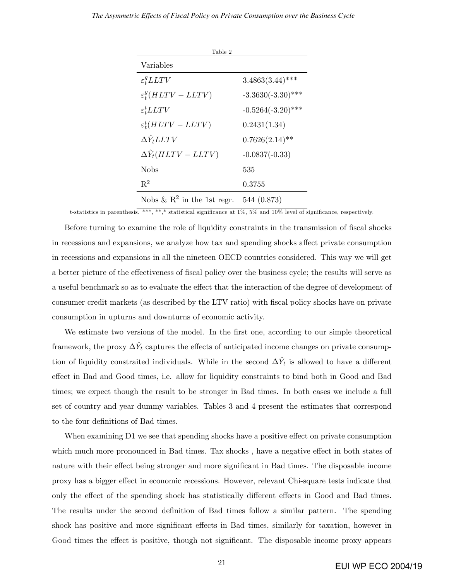#### *The Asymmetric Effects of Fiscal Policy on Private Consumption over the Business Cycle*

| Table 2                                |                      |
|----------------------------------------|----------------------|
| Variables                              |                      |
| $\varepsilon_t^gLITY$                  | $3.4863(3.44)$ ***   |
| $\varepsilon_t^g(HLTV-LLTV)$           | $-3.3630(-3.30)$ *** |
| $\varepsilon_t^t L LTV$                | $-0.5264(-3.20)$ *** |
| $\varepsilon_t^t(HLTV-LLTV)$           | 0.2431(1.34)         |
| $\Delta \hat{Y}_t L L T V$             | $0.7626(2.14)$ **    |
| $\Delta \hat{Y}_t(HLTV - LLTV)$        | $-0.0837(-0.33)$     |
| Nobs                                   | 535                  |
| $R^2$                                  | 0.3755               |
| Nobs & $\mathbb{R}^2$ in the 1st regr. | 544 (0.873)          |

t-statistics in parenthesis. \*\*\*, \*\*,\* statistical significance at  $1\%$ ,  $5\%$  and  $10\%$  level of significance, respectively.

Before turning to examine the role of liquidity constraints in the transmission of fiscal shocks in recessions and expansions, we analyze how tax and spending shocks affect private consumption in recessions and expansions in all the nineteen OECD countries considered. This way we will get a better picture of the effectiveness of fiscal policy over the business cycle; the results will serve as a useful benchmark so as to evaluate the effect that the interaction of the degree of development of consumer credit markets (as described by the LTV ratio) with fiscal policy shocks have on private consumption in upturns and downturns of economic activity.

We estimate two versions of the model. In the first one, according to our simple theoretical framework, the proxy  $\Delta \hat{Y}_t$  captures the effects of anticipated income changes on private consumption of liquidity constraited individuals. While in the second  $\Delta \hat{Y}_t$  is allowed to have a different effect in Bad and Good times, i.e. allow for liquidity constraints to bind both in Good and Bad times; we expect though the result to be stronger in Bad times. In both cases we include a full set of country and year dummy variables. Tables 3 and 4 present the estimates that correspond to the four definitions of Bad times.

When examining  $D1$  we see that spending shocks have a positive effect on private consumption which much more pronounced in Bad times. Tax shocks, have a negative effect in both states of nature with their effect being stronger and more significant in Bad times. The disposable income proxy has a bigger effect in economic recessions. However, relevant Chi-square tests indicate that only the effect of the spending shock has statistically different effects in Good and Bad times. The results under the second definition of Bad times follow a similar pattern. The spending shock has positive and more significant effects in Bad times, similarly for taxation, however in Good times the effect is positive, though not significant. The disposable income proxy appears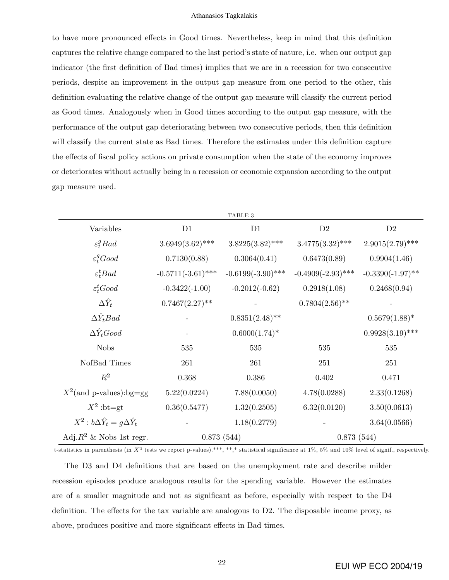to have more pronounced effects in Good times. Nevertheless, keep in mind that this definition captures the relative change compared to the last period's state of nature, i.e. when our output gap indicator (the first definition of Bad times) implies that we are in a recession for two consecutive periods, despite an improvement in the output gap measure from one period to the other, this definition evaluating the relative change of the output gap measure will classify the current period as Good times. Analogously when in Good times according to the output gap measure, with the performance of the output gap deteriorating between two consecutive periods, then this definition will classify the current state as Bad times. Therefore the estimates under this definition capture the effects of fiscal policy actions on private consumption when the state of the economy improves or deteriorates without actually being in a recession or economic expansion according to the output gap measure used.

|                                               |                      | ${\tt TABLE}$ 3      |                      |                     |
|-----------------------------------------------|----------------------|----------------------|----------------------|---------------------|
| Variables                                     | D1                   | D1                   | D2                   | D2                  |
| $\varepsilon_t^g B a d$                       | $3.6949(3.62)$ ***   | $3.8225(3.82)$ ***   | $3.4775(3.32)$ ***   | $2.9015(2.79)$ ***  |
| $\varepsilon_t^g Good$                        | 0.7130(0.88)         | 0.3064(0.41)         | 0.6473(0.89)         | 0.9904(1.46)        |
| $\varepsilon_t^t B a d$                       | $-0.5711(-3.61)$ *** | $-0.6199(-3.90)$ *** | $-0.4909(-2.93)$ *** | $-0.3390(-1.97)$ ** |
| $\varepsilon_t^t$ Good                        | $-0.3422(-1.00)$     | $-0.2012(-0.62)$     | 0.2918(1.08)         | 0.2468(0.94)        |
| $\Delta \hat{Y}_t$                            | $0.7467(2.27)$ **    |                      | $0.7804(2.56)$ **    |                     |
| $\Delta Y_t$ Bad                              |                      | $0.8351(2.48)$ **    |                      | $0.5679(1.88)$ *    |
| $\Delta \hat{Y}_t Good$                       |                      | $0.6000(1.74)$ *     |                      | $0.9928(3.19)$ ***  |
| <b>Nobs</b>                                   | 535                  | 535                  | 535                  | 535                 |
| NofBad Times                                  | 261                  | 261                  | 251                  | 251                 |
| $R^2$                                         | 0.368                | 0.386                | 0.402                | 0.471               |
| $X^2$ (and p-values):bg=gg                    | 5.22(0.0224)         | 7.88(0.0050)         | 4.78(0.0288)         | 2.33(0.1268)        |
| $X^2$ :bt=gt                                  | 0.36(0.5477)         | 1.32(0.2505)         | 6.32(0.0120)         | 3.50(0.0613)        |
| $X^2 : b\Delta \hat{Y}_t = g\Delta \hat{Y}_t$ |                      | 1.18(0.2779)         |                      | 3.64(0.0566)        |
| Adj. $R^2$ & Nobs 1st regr.                   |                      | 0.873(544)           | 0.873(544)           |                     |

t-statistics in parenthesis (in  $X^2$  tests we report p-values).\*\*\*, \*\*,\* statistical significance at 1%, 5% and 10% level of signif., respectively.

The D3 and D4 definitions that are based on the unemployment rate and describe milder recession episodes produce analogous results for the spending variable. However the estimates are of a smaller magnitude and not as significant as before, especially with respect to the D4 definition. The effects for the tax variable are analogous to  $D2$ . The disposable income proxy, as above, produces positive and more significant effects in Bad times.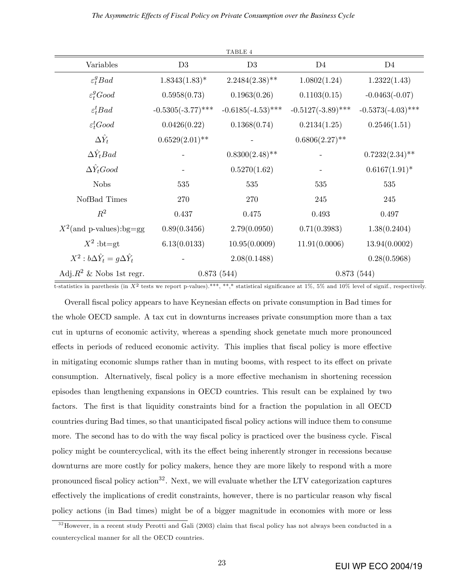|                                               |                      | ${\tt TABLE}$ 4      |                      |                      |
|-----------------------------------------------|----------------------|----------------------|----------------------|----------------------|
| Variables                                     | D3                   | D3                   | D <sub>4</sub>       | D <sub>4</sub>       |
| $\varepsilon_t^g B a d$                       | $1.8343(1.83)^*$     | $2.2484(2.38)$ **    | 1.0802(1.24)         | 1.2322(1.43)         |
| $\varepsilon_t^g$ Good                        | 0.5958(0.73)         | 0.1963(0.26)         | 0.1103(0.15)         | $-0.0463(-0.07)$     |
| $\varepsilon_t^t B a d$                       | $-0.5305(-3.77)$ *** | $-0.6185(-4.53)$ *** | $-0.5127(-3.89)$ *** | $-0.5373(-4.03)$ *** |
| $\varepsilon_t^t$ Good                        | 0.0426(0.22)         | 0.1368(0.74)         | 0.2134(1.25)         | 0.2546(1.51)         |
| $\Delta \hat{Y}_t$                            | $0.6529(2.01)$ **    |                      | $0.6806(2.27)$ **    |                      |
| $\Delta Y_t$ Bad                              |                      | $0.8300(2.48)$ **    |                      | $0.7232(2.34)$ **    |
| $\Delta \hat{Y}_t$ Good                       |                      | 0.5270(1.62)         |                      | $0.6167(1.91)^*$     |
| <b>Nobs</b>                                   | 535                  | 535                  | 535                  | 535                  |
| NofBad Times                                  | 270                  | 270                  | 245                  | 245                  |
| $R^2$                                         | 0.437                | 0.475                | 0.493                | 0.497                |
| $X^2$ (and p-values):bg=gg                    | 0.89(0.3456)         | 2.79(0.0950)         | 0.71(0.3983)         | 1.38(0.2404)         |
| $X^2$ :bt=gt                                  | 6.13(0.0133)         | 10.95(0.0009)        | 11.91(0.0006)        | 13.94(0.0002)        |
| $X^2 : b\Delta \hat{Y}_t = g\Delta \hat{Y}_t$ |                      | 2.08(0.1488)         |                      | 0.28(0.5968)         |
| Adj. $R^2$ & Nobs 1st regr.                   |                      | 0.873(544)           | 0.873(544)           |                      |

t-statistics in parethesis (in  $X^2$  tests we report p-values).\*\*\*, \*\*,\* statistical significance at 1%, 5% and 10% level of signif., respectively.

Overall fiscal policy appears to have Keynesian effects on private consumption in Bad times for the whole OECD sample. A tax cut in downturns increases private consumption more than a tax cut in upturns of economic activity, whereas a spending shock genetate much more pronounced effects in periods of reduced economic activity. This implies that fiscal policy is more effective in mitigating economic slumps rather than in muting booms, with respect to its effect on private consumption. Alternatively, fiscal policy is a more effective mechanism in shortening recession episodes than lengthening expansions in OECD countries. This result can be explained by two factors. The first is that liquidity constraints bind for a fraction the population in all OECD countries during Bad times, so that unanticipated Öscal policy actions will induce them to consume more. The second has to do with the way fiscal policy is practiced over the business cycle. Fiscal policy might be countercyclical, with its the effect being inherently stronger in recessions because downturns are more costly for policy makers, hence they are more likely to respond with a more pronounced fiscal policy action<sup>32</sup>. Next, we will evaluate whether the LTV categorization captures effectively the implications of credit constraints, however, there is no particular reason why fiscal policy actions (in Bad times) might be of a bigger magnitude in economies with more or less

 $32$ However, in a recent study Perotti and Gali (2003) claim that fiscal policy has not always been conducted in a countercyclical manner for all the OECD countries.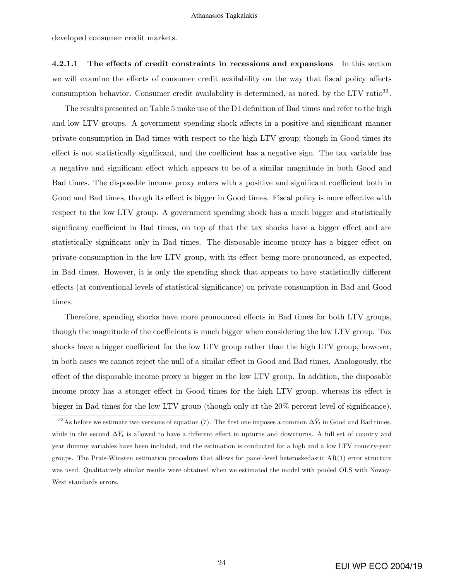developed consumer credit markets.

4.2.1.1 The effects of credit constraints in recessions and expansions In this section we will examine the effects of consumer credit availability on the way that fiscal policy affects consumption behavior. Consumer credit availability is determined, as noted, by the LTV ratio<sup>33</sup>.

The results presented on Table 5 make use of the D1 definition of Bad times and refer to the high and low LTV groups. A government spending shock affects in a positive and significant manner private consumption in Bad times with respect to the high LTV group; though in Good times its effect is not statistically significant, and the coefficient has a negative sign. The tax variable has a negative and significant effect which appears to be of a similar magnitude in both Good and Bad times. The disposable income proxy enters with a positive and significant coefficient both in Good and Bad times, though its effect is bigger in Good times. Fiscal policy is more effective with respect to the low LTV group. A government spending shock has a much bigger and statistically significany coefficient in Bad times, on top of that the tax shocks have a bigger effect and are statistically significant only in Bad times. The disposable income proxy has a bigger effect on private consumption in the low LTV group, with its effect being more pronounced, as expected, in Bad times. However, it is only the spending shock that appears to have statistically different effects (at conventional levels of statistical significance) on private consumption in Bad and Good times.

Therefore, spending shocks have more pronounced effects in Bad times for both LTV groups, though the magnitude of the coefficients is much bigger when considering the low LTV group. Tax shocks have a bigger coefficient for the low LTV group rather than the high LTV group, however, in both cases we cannot reject the null of a similar effect in Good and Bad times. Analogously, the effect of the disposable income proxy is bigger in the low LTV group. In addition, the disposable income proxy has a stonger effect in Good times for the high LTV group, whereas its effect is bigger in Bad times for the low LTV group (though only at the  $20\%$  percent level of significance).

<sup>&</sup>lt;sup>33</sup>As before we estimate two versions of equation (7). The first one imposes a common  $\Delta \hat{Y}_t$  in Good and Bad times, while in the second  $\Delta\hat{Y}_t$  is allowed to have a different effect in upturns and downturns. A full set of country and year dummy variables have been included, and the estimation is conducted for a high and a low LTV country-year groups. The Prais-Winsten estimation procedure that allows for panel-level heteroskedastic AR(1) error structure was used. Qualitatively similar results were obtained when we estimated the model with pooled OLS with Newey-West standards errors.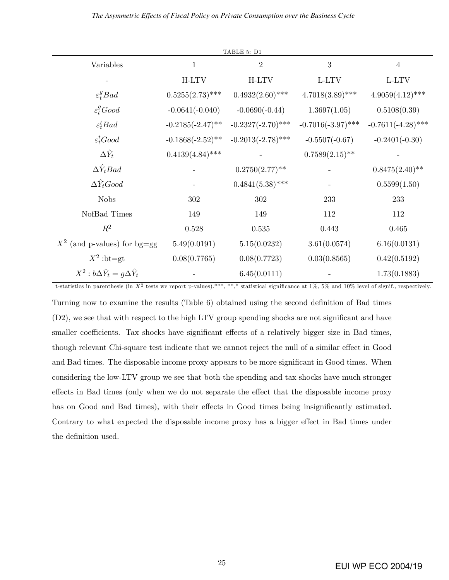|                                               |                     | TABLE 5: D1          |                      |                      |
|-----------------------------------------------|---------------------|----------------------|----------------------|----------------------|
| Variables                                     | $\mathbf{1}$        | $\overline{2}$       | $\sqrt{3}$           | $\overline{4}$       |
|                                               | H-LTV               | H-LTV                | L-LTV                | L-LTV                |
| $\varepsilon_t^g B a d$                       | $0.5255(2.73)$ ***  | $0.4932(2.60)$ ***   | $4.7018(3.89)$ ***   | $4.9059(4.12)$ ***   |
| $\varepsilon_t^g$ Good                        | $-0.0641(-0.040)$   | $-0.0690(-0.44)$     | 1.3697(1.05)         | 0.5108(0.39)         |
| $\varepsilon_t^t B a d$                       | $-0.2185(-2.47)$ ** | $-0.2327(-2.70)$ *** | $-0.7016(-3.97)$ *** | $-0.7611(-4.28)$ *** |
| $\varepsilon_t^t$ Good                        | $-0.1868(-2.52)$ ** | $-0.2013(-2.78)$ *** | $-0.5507(-0.67)$     | $-0.2401(-0.30)$     |
| $\Delta \hat{Y}_t$                            | $0.4139(4.84)$ ***  |                      | $0.7589(2.15)$ **    |                      |
| $\Delta Y_t$ Bad                              |                     | $0.2750(2.77)$ **    |                      | $0.8475(2.40)$ **    |
| $\Delta \hat{Y}_t Good$                       |                     | $0.4841(5.38)$ ***   |                      | 0.5599(1.50)         |
| <b>Nobs</b>                                   | 302                 | 302                  | 233                  | 233                  |
| NofBad Times                                  | 149                 | 149                  | 112                  | 112                  |
| $R^2$                                         | 0.528               | 0.535                | 0.443                | 0.465                |
| $X^2$ (and p-values) for bg=gg                | 5.49(0.0191)        | 5.15(0.0232)         | 3.61(0.0574)         | 6.16(0.0131)         |
| $X^2$ :bt=gt                                  | 0.08(0.7765)        | 0.08(0.7723)         | 0.03(0.8565)         | 0.42(0.5192)         |
| $X^2 : b\Delta \hat{Y}_t = g\Delta \hat{Y}_t$ |                     | 6.45(0.0111)         |                      | 1.73(0.1883)         |

t-statistics in parenthesis (in  $X^2$  tests we report p-values).\*\*\*, \*\*,\* statistical significance at 1%, 5% and 10% level of signif., respectively.

Turning now to examine the results (Table  $6$ ) obtained using the second definition of Bad times (D2), we see that with respect to the high LTV group spending shocks are not significant and have smaller coefficients. Tax shocks have significant effects of a relatively bigger size in Bad times, though relevant Chi-square test indicate that we cannot reject the null of a similar effect in Good and Bad times. The disposable income proxy appears to be more significant in Good times. When considering the low-LTV group we see that both the spending and tax shocks have much stronger effects in Bad times (only when we do not separate the effect that the disposable income proxy has on Good and Bad times), with their effects in Good times being insignificantly estimated. Contrary to what expected the disposable income proxy has a bigger effect in Bad times under the definition used.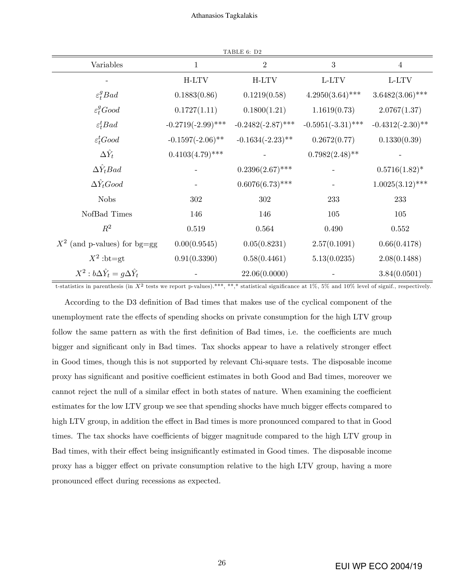| Variables                                     | $\mathbf{1}$         | $\overline{2}$       | $\sqrt{3}$           | $\overline{4}$      |
|-----------------------------------------------|----------------------|----------------------|----------------------|---------------------|
|                                               | H-LTV                | H-LTV                | L-LTV                | L-LTV               |
| $\varepsilon_t^g B a d$                       | 0.1883(0.86)         | 0.1219(0.58)         | $4.2950(3.64)$ ***   | $3.6482(3.06)$ ***  |
| $\varepsilon_t^g Good$                        | 0.1727(1.11)         | 0.1800(1.21)         | 1.1619(0.73)         | 2.0767(1.37)        |
| $\varepsilon_t^t B a d$                       | $-0.2719(-2.99)$ *** | $-0.2482(-2.87)$ *** | $-0.5951(-3.31)$ *** | $-0.4312(-2.30)$ ** |
| $\varepsilon_t^t$ Good                        | $-0.1597(-2.06)$ **  | $-0.1634(-2.23)$ **  | 0.2672(0.77)         | 0.1330(0.39)        |
| $\Delta \hat{Y}_t$                            | $0.4103(4.79)$ ***   |                      | $0.7982(2.48)$ **    |                     |
| $\Delta Y_t$ Bad                              |                      | $0.2396(2.67)$ ***   |                      | $0.5716(1.82)^*$    |
| $\Delta Y_t$ Good                             |                      | $0.6076(6.73)$ ***   |                      | $1.0025(3.12)$ ***  |
| <b>Nobs</b>                                   | 302                  | 302                  | 233                  | 233                 |
| NofBad Times                                  | 146                  | 146                  | 105                  | 105                 |
| $R^2$                                         | $0.519\,$            | 0.564                | 0.490                | 0.552               |
| $X^2$ (and p-values) for bg=gg                | 0.00(0.9545)         | 0.05(0.8231)         | 2.57(0.1091)         | 0.66(0.4178)        |
| $X^2$ :bt=gt                                  | 0.91(0.3390)         | 0.58(0.4461)         | 5.13(0.0235)         | 2.08(0.1488)        |
| $X^2 : b\Delta \hat{Y}_t = g\Delta \hat{Y}_t$ |                      | 22.06(0.0000)        |                      | 3.84(0.0501)        |

t-statistics in parenthesis (in  $X^2$  tests we report p-values).<sup>\*\*\*</sup>, \*\*\*,\* statistical significance at 1%, 5% and 10% level of signif., respectively.

According to the D3 definition of Bad times that makes use of the cyclical component of the unemployment rate the effects of spending shocks on private consumption for the high LTV group follow the same pattern as with the first definition of Bad times, i.e. the coefficients are much bigger and significant only in Bad times. Tax shocks appear to have a relatively stronger effect in Good times, though this is not supported by relevant Chi-square tests. The disposable income proxy has significant and positive coefficient estimates in both Good and Bad times, moreover we cannot reject the null of a similar effect in both states of nature. When examining the coefficient estimates for the low LTV group we see that spending shocks have much bigger effects compared to high LTV group, in addition the effect in Bad times is more pronounced compared to that in Good times. The tax shocks have coefficients of bigger magnitude compared to the high LTV group in Bad times, with their effect being insignificantly estimated in Good times. The disposable income proxy has a bigger effect on private consumption relative to the high LTV group, having a more pronounced effect during recessions as expected.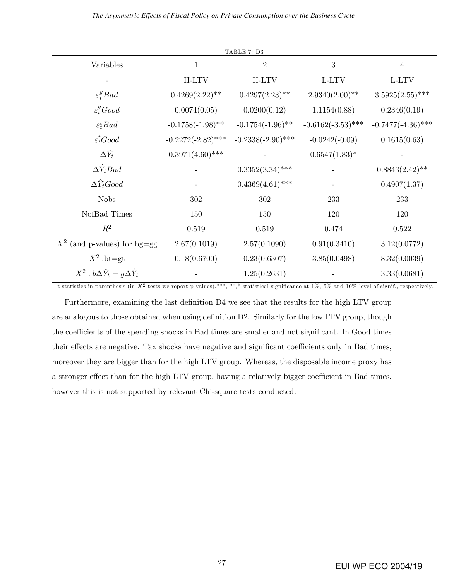| TABLE 7: D3                                   |                      |                      |                      |                      |  |
|-----------------------------------------------|----------------------|----------------------|----------------------|----------------------|--|
| Variables                                     | $\mathbf 1$          | $\sqrt{2}$           | 3                    | $\overline{4}$       |  |
|                                               | H-LTV                | H-LTV                | L-LTV                | L-LTV                |  |
| $\varepsilon_t^g B a d$                       | $0.4269(2.22)$ **    | $0.4297(2.23)$ **    | $2.9340(2.00)$ **    | $3.5925(2.55)$ ***   |  |
| $\varepsilon_t^g$ Good                        | 0.0074(0.05)         | 0.0200(0.12)         | 1.1154(0.88)         | 0.2346(0.19)         |  |
| $\varepsilon_t^t B a d$                       | $-0.1758(-1.98)$ **  | $-0.1754(-1.96)$ **  | $-0.6162(-3.53)$ *** | $-0.7477(-4.36)$ *** |  |
| $\varepsilon_t^t$ Good                        | $-0.2272(-2.82)$ *** | $-0.2338(-2.90)$ *** | $-0.0242(-0.09)$     | 0.1615(0.63)         |  |
| $\Delta \hat{Y}_t$                            | $0.3971(4.60)$ ***   |                      | $0.6547(1.83)^*$     |                      |  |
| $\Delta Y_t$ Bad                              |                      | $0.3352(3.34)$ ***   |                      | $0.8843(2.42)$ **    |  |
| $\Delta Y_t Good$                             |                      | $0.4369(4.61)$ ***   |                      | 0.4907(1.37)         |  |
| <b>Nobs</b>                                   | 302                  | 302                  | 233                  | 233                  |  |
| NofBad Times                                  | 150                  | 150                  | 120                  | 120                  |  |
| $R^2$                                         | $0.519\,$            | $0.519\,$            | 0.474                | 0.522                |  |
| $X^2$ (and p-values) for bg=gg                | 2.67(0.1019)         | 2.57(0.1090)         | 0.91(0.3410)         | 3.12(0.0772)         |  |
| $X^2$ :bt=gt                                  | 0.18(0.6700)         | 0.23(0.6307)         | 3.85(0.0498)         | 8.32(0.0039)         |  |
| $X^2 : b\Delta \hat{Y}_t = g\Delta \hat{Y}_t$ |                      | 1.25(0.2631)         |                      | 3.33(0.0681)         |  |

t-statistics in parenthesis (in  $X^2$  tests we report p-values).\*\*\*, \*\*,\* statistical significance at 1%, 5% and 10% level of signif., respectively.

Furthermore, examining the last definition D4 we see that the results for the high LTV group are analogous to those obtained when using definition D2. Similarly for the low LTV group, though the coefficients of the spending shocks in Bad times are smaller and not significant. In Good times their effects are negative. Tax shocks have negative and significant coefficients only in Bad times, moreover they are bigger than for the high LTV group. Whereas, the disposable income proxy has a stronger effect than for the high LTV group, having a relatively bigger coefficient in Bad times, however this is not supported by relevant Chi-square tests conducted.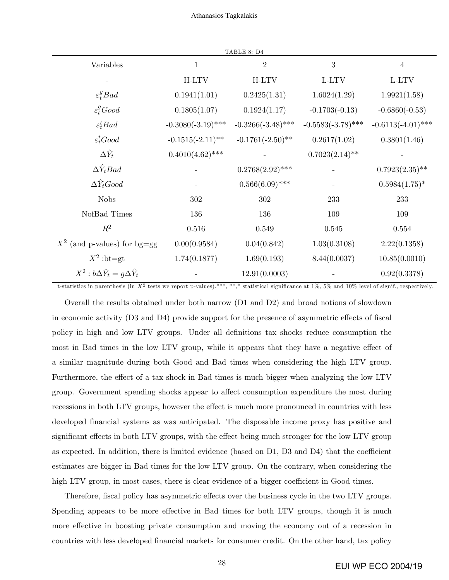|                                               |                      | TABLE 8: D4          |                      |                      |
|-----------------------------------------------|----------------------|----------------------|----------------------|----------------------|
| Variables                                     | $\mathbf{1}$         | $\mathbf{2}$         | 3                    | $\overline{4}$       |
|                                               | H-LTV                | H-LTV                | L-LTV                | L-LTV                |
| $\varepsilon_t^g B a d$                       | 0.1941(1.01)         | 0.2425(1.31)         | 1.6024(1.29)         | 1.9921(1.58)         |
| $\varepsilon_t^g$ Good                        | 0.1805(1.07)         | 0.1924(1.17)         | $-0.1703(-0.13)$     | $-0.6860(-0.53)$     |
| $\varepsilon_t^t B a d$                       | $-0.3080(-3.19)$ *** | $-0.3266(-3.48)$ *** | $-0.5583(-3.78)$ *** | $-0.6113(-4.01)$ *** |
| $\varepsilon_t^t$ Good                        | $-0.1515(-2.11)$ **  | $-0.1761(-2.50)$ **  | 0.2617(1.02)         | 0.3801(1.46)         |
| $\Delta \hat{Y}_t$                            | $0.4010(4.62)$ ***   |                      | $0.7023(2.14)$ **    |                      |
| $\Delta Y_t$ Bad                              |                      | $0.2768(2.92)$ ***   |                      | $0.7923(2.35)$ **    |
| $\Delta \hat{Y}_t$ Good                       |                      | $0.566(6.09)$ ***    |                      | $0.5984(1.75)^*$     |
| <b>Nobs</b>                                   | 302                  | 302                  | 233                  | 233                  |
| NofBad Times                                  | 136                  | 136                  | 109                  | 109                  |
| $R^2$                                         | $0.516\,$            | $0.549\,$            | 0.545                | 0.554                |
| $X^2$ (and p-values) for bg=gg                | 0.00(0.9584)         | 0.04(0.842)          | 1.03(0.3108)         | 2.22(0.1358)         |
| $X^2$ :bt=gt                                  | 1.74(0.1877)         | 1.69(0.193)          | 8.44(0.0037)         | 10.85(0.0010)        |
| $X^2 : b\Delta \hat{Y}_t = g\Delta \hat{Y}_t$ |                      | 12.91(0.0003)        |                      | 0.92(0.3378)         |

t-statistics in parenthesis (in  $X^2$  tests we report p-values).\*\*\*, \*\*,\* statistical significance at 1%, 5% and 10% level of signif., respectively.

Overall the results obtained under both narrow (D1 and D2) and broad notions of slowdown in economic activity  $(D3 \text{ and } D4)$  provide support for the presence of asymmetric effects of fiscal policy in high and low LTV groups. Under all definitions tax shocks reduce consumption the most in Bad times in the low LTV group, while it appears that they have a negative effect of a similar magnitude during both Good and Bad times when considering the high LTV group. Furthermore, the effect of a tax shock in Bad times is much bigger when analyzing the low LTV group. Government spending shocks appear to affect consumption expenditure the most during recessions in both LTV groups, however the effect is much more pronounced in countries with less developed financial systems as was anticipated. The disposable income proxy has positive and significant effects in both LTV groups, with the effect being much stronger for the low LTV group as expected. In addition, there is limited evidence (based on  $D1$ ,  $D3$  and  $D4$ ) that the coefficient estimates are bigger in Bad times for the low LTV group. On the contrary, when considering the high LTV group, in most cases, there is clear evidence of a bigger coefficient in Good times.

Therefore, fiscal policy has asymmetric effects over the business cycle in the two LTV groups. Spending appears to be more effective in Bad times for both LTV groups, though it is much more effective in boosting private consumption and moving the economy out of a recession in countries with less developed financial markets for consumer credit. On the other hand, tax policy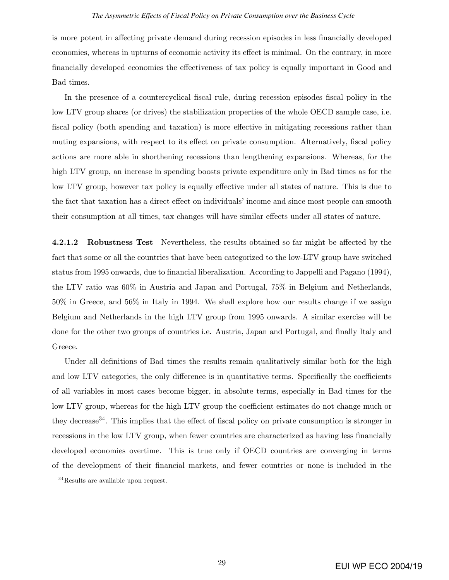#### *The Asymmetric Effects of Fiscal Policy on Private Consumption over the Business Cycle*

is more potent in affecting private demand during recession episodes in less financially developed economies, whereas in upturns of economic activity its effect is minimal. On the contrary, in more financially developed economies the effectiveness of tax policy is equally important in Good and Bad times.

In the presence of a countercyclical fiscal rule, during recession episodes fiscal policy in the low LTV group shares (or drives) the stabilization properties of the whole OECD sample case, i.e. fiscal policy (both spending and taxation) is more effective in mitigating recessions rather than muting expansions, with respect to its effect on private consumption. Alternatively, fiscal policy actions are more able in shorthening recessions than lengthening expansions. Whereas, for the high LTV group, an increase in spending boosts private expenditure only in Bad times as for the low LTV group, however tax policy is equally effective under all states of nature. This is due to the fact that taxation has a direct effect on individuals' income and since most people can smooth their consumption at all times, tax changes will have similar effects under all states of nature.

4.2.1.2 Robustness Test Nevertheless, the results obtained so far might be affected by the fact that some or all the countries that have been categorized to the low-LTV group have switched status from 1995 onwards, due to financial liberalization. According to Jappelli and Pagano (1994), the LTV ratio was 60% in Austria and Japan and Portugal, 75% in Belgium and Netherlands, 50% in Greece, and 56% in Italy in 1994. We shall explore how our results change if we assign Belgium and Netherlands in the high LTV group from 1995 onwards. A similar exercise will be done for the other two groups of countries i.e. Austria, Japan and Portugal, and finally Italy and Greece.

Under all definitions of Bad times the results remain qualitatively similar both for the high and low LTV categories, the only difference is in quantitative terms. Specifically the coefficients of all variables in most cases become bigger, in absolute terms, especially in Bad times for the low LTV group, whereas for the high LTV group the coefficient estimates do not change much or they decrease<sup>34</sup>. This implies that the effect of fiscal policy on private consumption is stronger in recessions in the low LTV group, when fewer countries are characterized as having less financially developed economies overtime. This is true only if OECD countries are converging in terms of the development of their Önancial markets, and fewer countries or none is included in the

 $34$ Results are available upon request.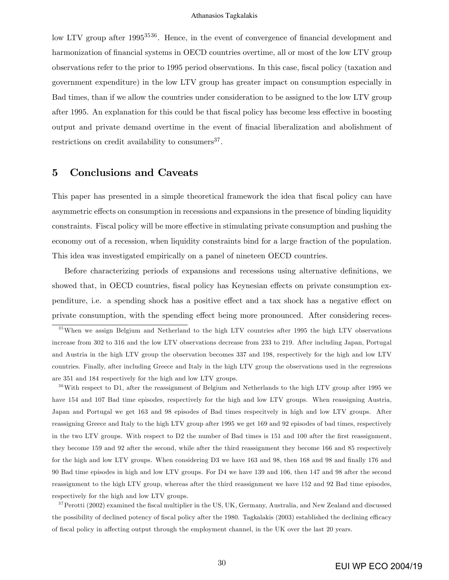low LTV group after  $1995^{3536}$ . Hence, in the event of convergence of financial development and harmonization of financial systems in OECD countries overtime, all or most of the low LTV group observations refer to the prior to 1995 period observations. In this case, fiscal policy (taxation and government expenditure) in the low LTV group has greater impact on consumption especially in Bad times, than if we allow the countries under consideration to be assigned to the low LTV group after 1995. An explanation for this could be that fiscal policy has become less effective in boosting output and private demand overtime in the event of Önacial liberalization and abolishment of restrictions on credit availability to consumers<sup>37</sup>.

### 5 Conclusions and Caveats

This paper has presented in a simple theoretical framework the idea that fiscal policy can have asymmetric effects on consumption in recessions and expansions in the presence of binding liquidity constraints. Fiscal policy will be more effective in stimulating private consumption and pushing the economy out of a recession, when liquidity constraints bind for a large fraction of the population. This idea was investigated empirically on a panel of nineteen OECD countries.

Before characterizing periods of expansions and recessions using alternative definitions, we showed that, in OECD countries, fiscal policy has Keynesian effects on private consumption expenditure, i.e. a spending shock has a positive effect and a tax shock has a negative effect on private consumption, with the spending effect being more pronounced. After considering reces-

 $36$ With respect to D1, after the reassignment of Belgium and Netherlands to the high LTV group after 1995 we have 154 and 107 Bad time episodes, respectively for the high and low LTV groups. When reassigning Austria, Japan and Portugal we get 163 and 98 episodes of Bad times respecitvely in high and low LTV groups. After reassigning Greece and Italy to the high LTV group after 1995 we get 169 and 92 episodes of bad times, respectively in the two LTV groups. With respect to D2 the number of Bad times is 151 and 100 after the first reassignment, they become 159 and 92 after the second, while after the third reassignment they become 166 and 85 respectively for the high and low LTV groups. When considering D3 we have 163 and 98, then 168 and 98 and finally 176 and 90 Bad time episodes in high and low LTV groups. For D4 we have 139 and 106, then 147 and 98 after the second reassignment to the high LTV group, whereas after the third reassignment we have 152 and 92 Bad time episodes, respectively for the high and low LTV groups.

 $37$ Perotti (2002) examined the fiscal multiplier in the US, UK, Germany, Australia, and New Zealand and discussed the possibility of declined potency of fiscal policy after the 1980. Tagkalakis (2003) established the declining efficacy of fiscal policy in affecting output through the employment channel, in the UK over the last 20 years.

<sup>&</sup>lt;sup>35</sup>When we assign Belgium and Netherland to the high LTV countries after 1995 the high LTV observations increase from 302 to 316 and the low LTV observations decrease from 233 to 219. After including Japan, Portugal and Austria in the high LTV group the observation becomes 337 and 198, respectively for the high and low LTV countries. Finally, after including Greece and Italy in the high LTV group the observations used in the regressions are 351 and 184 respectively for the high and low LTV groups.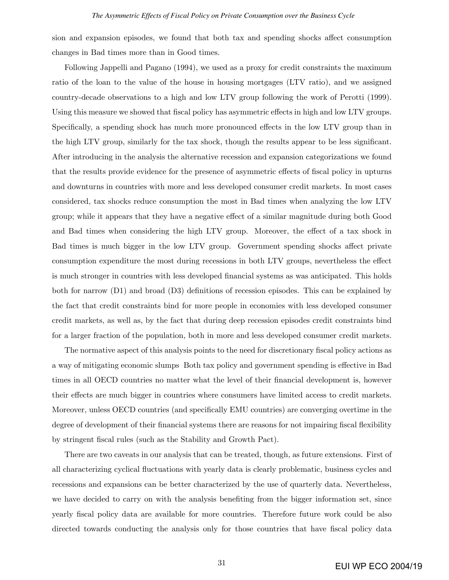sion and expansion episodes, we found that both tax and spending shocks affect consumption changes in Bad times more than in Good times.

Following Jappelli and Pagano (1994), we used as a proxy for credit constraints the maximum ratio of the loan to the value of the house in housing mortgages (LTV ratio), and we assigned country-decade observations to a high and low LTV group following the work of Perotti (1999). Using this measure we showed that fiscal policy has asymmetric effects in high and low LTV groups. Specifically, a spending shock has much more pronounced effects in the low LTV group than in the high LTV group, similarly for the tax shock, though the results appear to be less significant. After introducing in the analysis the alternative recession and expansion categorizations we found that the results provide evidence for the presence of asymmetric effects of fiscal policy in upturns and downturns in countries with more and less developed consumer credit markets. In most cases considered, tax shocks reduce consumption the most in Bad times when analyzing the low LTV group; while it appears that they have a negative effect of a similar magnitude during both Good and Bad times when considering the high LTV group. Moreover, the effect of a tax shock in Bad times is much bigger in the low LTV group. Government spending shocks affect private consumption expenditure the most during recessions in both LTV groups, nevertheless the effect is much stronger in countries with less developed Önancial systems as was anticipated. This holds both for narrow  $(D1)$  and broad  $(D3)$  definitions of recession episodes. This can be explained by the fact that credit constraints bind for more people in economies with less developed consumer credit markets, as well as, by the fact that during deep recession episodes credit constraints bind for a larger fraction of the population, both in more and less developed consumer credit markets.

The normative aspect of this analysis points to the need for discretionary fiscal policy actions as a way of mitigating economic slumps Both tax policy and government spending is effective in Bad times in all OECD countries no matter what the level of their financial development is, however their effects are much bigger in countries where consumers have limited access to credit markets. Moreover, unless OECD countries (and specifically EMU countries) are converging overtime in the degree of development of their financial systems there are reasons for not impairing fiscal flexibility by stringent Öscal rules (such as the Stability and Growth Pact).

There are two caveats in our analysis that can be treated, though, as future extensions. First of all characterizing cyclical áuctuations with yearly data is clearly problematic, business cycles and recessions and expansions can be better characterized by the use of quarterly data. Nevertheless, we have decided to carry on with the analysis benefiting from the bigger information set, since yearly Öscal policy data are available for more countries. Therefore future work could be also directed towards conducting the analysis only for those countries that have fiscal policy data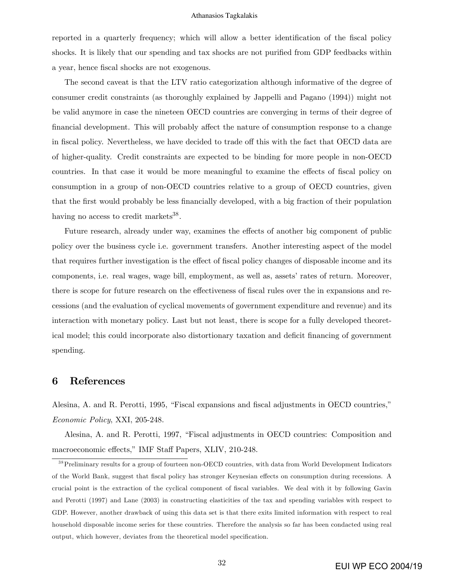reported in a quarterly frequency; which will allow a better identification of the fiscal policy shocks. It is likely that our spending and tax shocks are not purified from GDP feedbacks within a year, hence fiscal shocks are not exogenous.

The second caveat is that the LTV ratio categorization although informative of the degree of consumer credit constraints (as thoroughly explained by Jappelli and Pagano (1994)) might not be valid anymore in case the nineteen OECD countries are converging in terms of their degree of financial development. This will probably affect the nature of consumption response to a change in fiscal policy. Nevertheless, we have decided to trade off this with the fact that OECD data are of higher-quality. Credit constraints are expected to be binding for more people in non-OECD countries. In that case it would be more meaningful to examine the effects of fiscal policy on consumption in a group of non-OECD countries relative to a group of OECD countries, given that the first would probably be less financially developed, with a big fraction of their population having no access to credit markets<sup>38</sup>.

Future research, already under way, examines the effects of another big component of public policy over the business cycle i.e. government transfers. Another interesting aspect of the model that requires further investigation is the effect of fiscal policy changes of disposable income and its components, i.e. real wages, wage bill, employment, as well as, assets' rates of return. Moreover, there is scope for future research on the effectiveness of fiscal rules over the in expansions and recessions (and the evaluation of cyclical movements of government expenditure and revenue) and its interaction with monetary policy. Last but not least, there is scope for a fully developed theoretical model; this could incorporate also distortionary taxation and deficit financing of government spending.

### 6 References

Alesina, A. and R. Perotti, 1995, "Fiscal expansions and fiscal adjustments in OECD countries," Economic Policy, XXI, 205-248.

Alesina, A. and R. Perotti, 1997, "Fiscal adjustments in OECD countries: Composition and macroeconomic effects," IMF Staff Papers, XLIV, 210-248.

<sup>&</sup>lt;sup>38</sup> Preliminary results for a group of fourteen non-OECD countries, with data from World Development Indicators of the World Bank, suggest that fiscal policy has stronger Keynesian effects on consumption during recessions. A crucial point is the extraction of the cyclical component of Öscal variables. We deal with it by following Gavin and Perotti (1997) and Lane (2003) in constructing elasticities of the tax and spending variables with respect to GDP. However, another drawback of using this data set is that there exits limited information with respect to real household disposable income series for these countries. Therefore the analysis so far has been condacted using real output, which however, deviates from the theoretical model specification.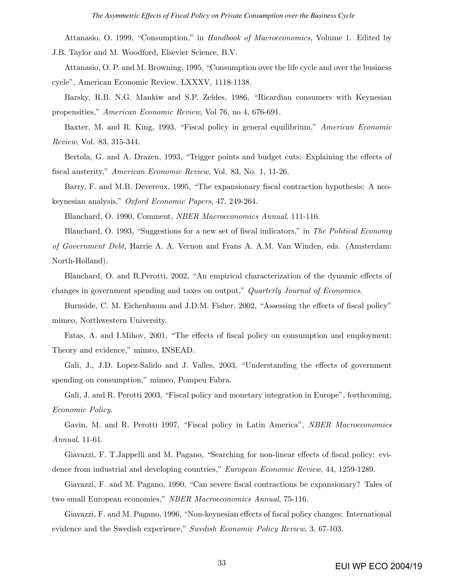Attanasio, O. 1999, "Consumption," in Handbook of Macroeconomics, Volume 1. Edited by J.B. Taylor and M. Woodford, Elsevier Science, B.V.

Attanasio, O. P. and M. Browning, 1995, "Consumption over the life cycle and over the business cycleî, American Economic Review, LXXXV, 1118-1138.

Barsky, R.B. N.G. Mankiw and S.P. Zeldes, 1986, "Ricardian consumers with Keynesian propensities," American Economic Review, Vol 76, no 4, 676-691.

Baxter, M. and R. King, 1993, "Fiscal policy in general equilibrium," American Economic Review, Vol. 83, 315-344.

Bertola, G. and A. Drazen, 1993, "Trigger points and budget cuts: Explaining the effects of fiscal austerity," American Economic Review, Vol. 83, No. 1, 11-26.

Barry, F. and M.B. Devereux, 1995, "The expansionary fiscal contraction hypothesis: A neokeynesian analysis," Oxford Economic Papers, 47, 249-264.

Blanchard, O. 1990, Comment, NBER Macroeconomics Annual, 111-116.

Blanchard, O. 1993, "Suggestions for a new set of fiscal indicators," in The Political Economy of Government Debt, Harrie A. A. Vernon and Frans A. A.M. Van Winden, eds. (Amsterdam: North-Holland).

Blanchard, O. and R.Perotti, 2002, "An empirical characterization of the dynamic effects of changes in government spending and taxes on output," Quarterly Journal of Economics.

Burnside, C. M. Eichenbaum and J.D.M. Fisher, 2002, "Assessing the effects of fiscal policy" mimeo, Northwestern University.

Fatas, A. and I.Mihov, 2001, "The effects of fiscal policy on consumption and employment: Theory and evidence," mimeo, INSEAD.

Gali, J., J.D. Lopez-Salido and J. Valles, 2003, "Understanding the effects of government spending on consumption," mimeo, Pompeu Fabra.

Gali, J. and R. Perotti 2003, "Fiscal policy and monetary integration in Europe", forthcoming, Economic Policy.

Gavin, M. and R. Perotti 1997, "Fiscal policy in Latin America", NBER Macroeconomics Annual, 11-61.

Giavazzi, F. T.Jappelli and M. Pagano, "Searching for non-linear effects of fiscal policy: evidence from industrial and developing countries," *European Economic Review*, 44, 1259-1289.

Giavazzi, F. and M. Pagano, 1990, "Can severe fiscal contractions be expansionary? Tales of two small European economies," NBER Macroeconomics Annual, 75-116.

Giavazzi, F. and M. Pagano, 1996, "Non-keynesian effects of fiscal policy changes: International evidence and the Swedish experience," Swedish Economic Policy Review,  $3, 67-103$ .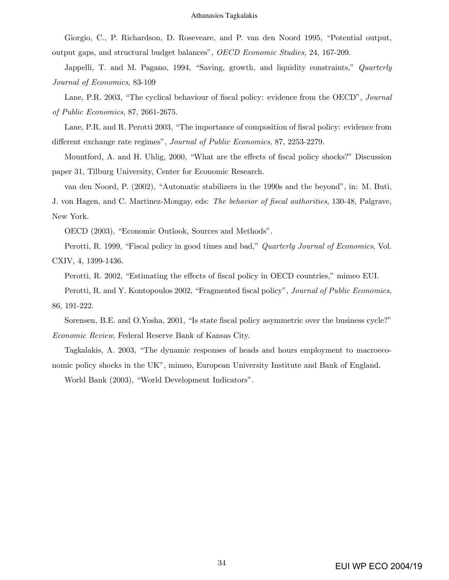Giorgio, C., P. Richardson, D. Roseveare, and P. van den Noord 1995, "Potential output, output gaps, and structural budget balancesî, OECD Economic Studies, 24, 167-209.

Jappelli, T. and M. Pagano, 1994, "Saving, growth, and liquidity constraints," Quarterly Journal of Economics, 83-109

Lane, P.R. 2003, "The cyclical behaviour of fiscal policy: evidence from the OECD", *Journal* of Public Economics, 87, 2661-2675.

Lane, P.R. and R. Perotti 2003, "The importance of composition of fiscal policy: evidence from different exchange rate regimes", Journal of Public Economics, 87, 2253-2279.

Mountford, A. and H. Uhlig, 2000, "What are the effects of fiscal policy shocks?" Discussion paper 31, Tilburg University, Center for Economic Research.

van den Noord, P. (2002), "Automatic stabilizers in the 1990s and the beyond", in: M. Buti,

J. von Hagen, and C. Martinez-Mongay, eds: The behavior of fiscal authorities, 130-48, Palgrave, New York.

OECD (2003), "Economic Outlook, Sources and Methods".

Perotti, R. 1999, "Fiscal policy in good times and bad," Quarterly Journal of Economics, Vol. CXIV, 4, 1399-1436.

Perotti, R. 2002, "Estimating the effects of fiscal policy in OECD countries," mimeo EUI.

Perotti, R. and Y. Kontopoulos 2002, "Fragmented fiscal policy", Journal of Public Economics, 86, 191-222.

Sorensen, B.E. and O.Yosha, 2001, "Is state fiscal policy asymmetric over the business cycle?" Economic Review, Federal Reserve Bank of Kansas City.

Tagkalakis, A. 2003, "The dynamic responses of heads and hours employment to macroeconomic policy shocks in the UK", mimeo, European University Institute and Bank of England.

World Bank (2003), "World Development Indicators".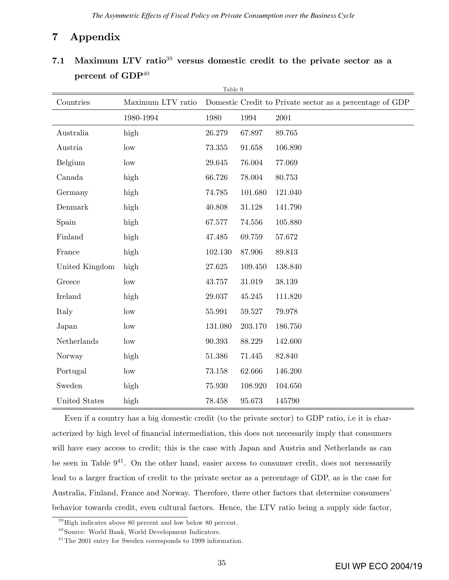## 7 Appendix

|                         |                   | Table 9 |         |                                                          |
|-------------------------|-------------------|---------|---------|----------------------------------------------------------|
| Countries               | Maximum LTV ratio |         |         | Domestic Credit to Private sector as a percentage of GDP |
|                         | 1980-1994         | 1980    | 1994    | 2001                                                     |
| Australia               | high              | 26.279  | 67.897  | 89.765                                                   |
| Austria                 | low               | 73.355  | 91.658  | 106.890                                                  |
| Belgium                 | low               | 29.645  | 76.004  | 77.069                                                   |
| Canada                  | high              | 66.726  | 78.004  | 80.753                                                   |
| Germany                 | high              | 74.785  | 101.680 | 121.040                                                  |
| Denmark                 | high              | 40.808  | 31.128  | 141.790                                                  |
| Spain                   | high              | 67.577  | 74.556  | 105.880                                                  |
| Finland                 | high              | 47.485  | 69.759  | 57.672                                                   |
| France                  | high              | 102.130 | 87.906  | 89.813                                                   |
| United Kingdom          | high              | 27.625  | 109.450 | 138.840                                                  |
| Greece                  | low               | 43.757  | 31.019  | 38.139                                                   |
| Ireland                 | high              | 29.037  | 45.245  | 111.820                                                  |
| Italy                   | low               | 55.991  | 59.527  | 79.978                                                   |
| Japan                   | low               | 131.080 | 203.170 | 186.750                                                  |
| Netherlands             | low               | 90.393  | 88.229  | 142.600                                                  |
| Norway                  | high              | 51.386  | 71.445  | 82.840                                                   |
| Portugal                | low               | 73.158  | 62.666  | 146.200                                                  |
| $\operatorname{Sweden}$ | high              | 75.930  | 108.920 | 104.650                                                  |
| United States           | high              | 78.458  | 95.673  | 145790                                                   |

## 7.1 Maximum LTV ratio<sup>39</sup> versus domestic credit to the private sector as a percent of GDP<sup>40</sup>

Even if a country has a big domestic credit (to the private sector) to GDP ratio, i.e it is characterized by high level of financial intermediation, this does not necessarily imply that consumers will have easy access to credit; this is the case with Japan and Austria and Netherlands as can be seen in Table  $9^{41}$ . On the other hand, easier access to consumer credit, does not necessarily lead to a larger fraction of credit to the private sector as a percentage of GDP, as is the case for Australia, Finland, France and Norway. Therefore, there other factors that determine consumersí behavior towards credit, even cultural factors. Hence, the LTV ratio being a supply side factor,

 $39$  High indicates above 80 percent and low below 80 percent.

 $40$  Source: World Bank, World Development Indicators.

 $^{41}\mathrm{The}$  2001 entry for Sweden corresponds to 1999 information.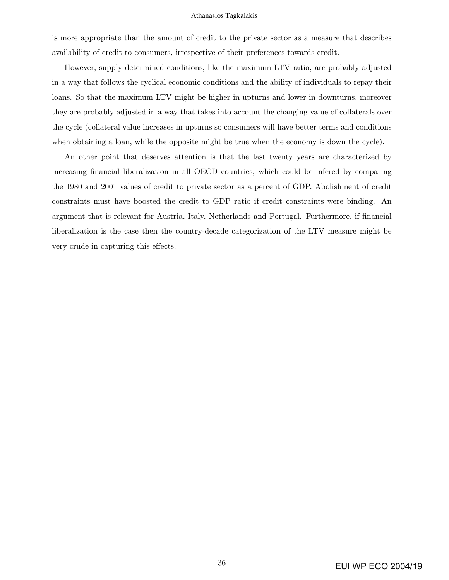is more appropriate than the amount of credit to the private sector as a measure that describes availability of credit to consumers, irrespective of their preferences towards credit.

However, supply determined conditions, like the maximum LTV ratio, are probably adjusted in a way that follows the cyclical economic conditions and the ability of individuals to repay their loans. So that the maximum LTV might be higher in upturns and lower in downturns, moreover they are probably adjusted in a way that takes into account the changing value of collaterals over the cycle (collateral value increases in upturns so consumers will have better terms and conditions when obtaining a loan, while the opposite might be true when the economy is down the cycle).

An other point that deserves attention is that the last twenty years are characterized by increasing financial liberalization in all OECD countries, which could be infered by comparing the 1980 and 2001 values of credit to private sector as a percent of GDP. Abolishment of credit constraints must have boosted the credit to GDP ratio if credit constraints were binding. An argument that is relevant for Austria, Italy, Netherlands and Portugal. Furthermore, if Önancial liberalization is the case then the country-decade categorization of the LTV measure might be very crude in capturing this effects.